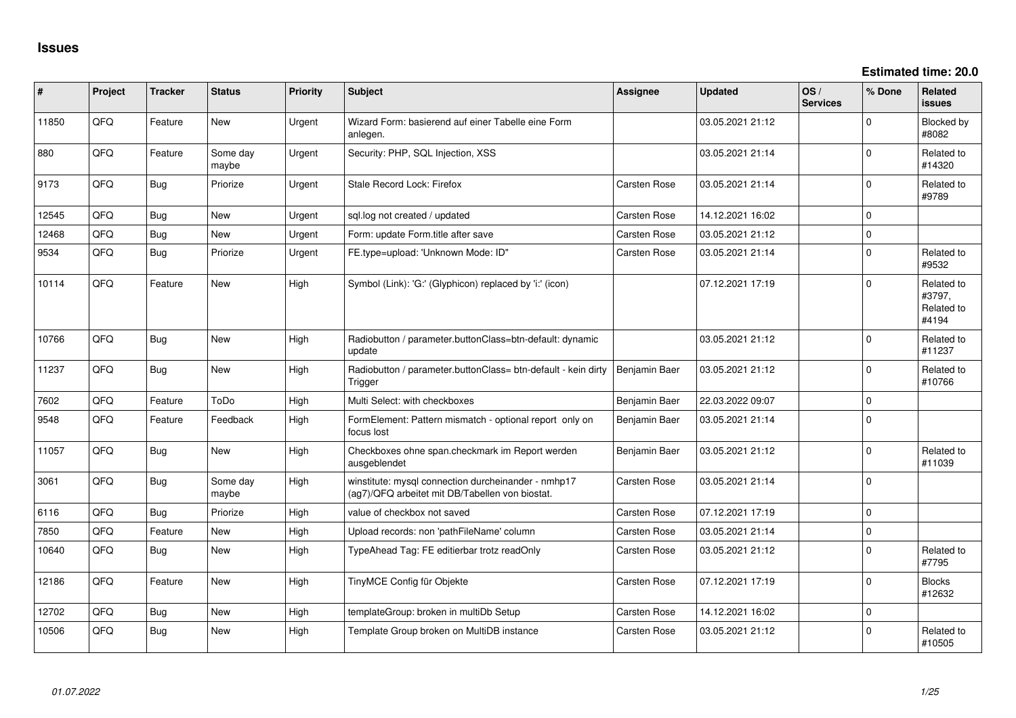| ∦     | Project | <b>Tracker</b> | <b>Status</b>     | <b>Priority</b> | Subject                                                                                                | <b>Assignee</b>     | <b>Updated</b>   | OS/<br><b>Services</b> | % Done      | <b>Related</b><br>issues                    |
|-------|---------|----------------|-------------------|-----------------|--------------------------------------------------------------------------------------------------------|---------------------|------------------|------------------------|-------------|---------------------------------------------|
| 11850 | QFQ     | Feature        | <b>New</b>        | Urgent          | Wizard Form: basierend auf einer Tabelle eine Form<br>anlegen.                                         |                     | 03.05.2021 21:12 |                        | $\Omega$    | Blocked by<br>#8082                         |
| 880   | QFQ     | Feature        | Some day<br>maybe | Urgent          | Security: PHP, SQL Injection, XSS                                                                      |                     | 03.05.2021 21:14 |                        | $\mathbf 0$ | Related to<br>#14320                        |
| 9173  | QFQ     | <b>Bug</b>     | Priorize          | Urgent          | Stale Record Lock: Firefox                                                                             | Carsten Rose        | 03.05.2021 21:14 |                        | $\Omega$    | Related to<br>#9789                         |
| 12545 | QFQ     | Bug            | <b>New</b>        | Urgent          | sgl.log not created / updated                                                                          | Carsten Rose        | 14.12.2021 16:02 |                        | $\Omega$    |                                             |
| 12468 | QFQ     | Bug            | <b>New</b>        | Urgent          | Form: update Form.title after save                                                                     | <b>Carsten Rose</b> | 03.05.2021 21:12 |                        | $\Omega$    |                                             |
| 9534  | QFQ     | <b>Bug</b>     | Priorize          | Urgent          | FE.type=upload: 'Unknown Mode: ID"                                                                     | Carsten Rose        | 03.05.2021 21:14 |                        | $\mathbf 0$ | Related to<br>#9532                         |
| 10114 | QFQ     | Feature        | <b>New</b>        | High            | Symbol (Link): 'G:' (Glyphicon) replaced by 'i:' (icon)                                                |                     | 07.12.2021 17:19 |                        | $\Omega$    | Related to<br>#3797,<br>Related to<br>#4194 |
| 10766 | QFQ     | <b>Bug</b>     | New               | High            | Radiobutton / parameter.buttonClass=btn-default: dynamic<br>update                                     |                     | 03.05.2021 21:12 |                        | $\mathbf 0$ | Related to<br>#11237                        |
| 11237 | QFQ     | <b>Bug</b>     | New               | High            | Radiobutton / parameter.buttonClass= btn-default - kein dirty<br>Trigger                               | Benjamin Baer       | 03.05.2021 21:12 |                        | $\mathbf 0$ | Related to<br>#10766                        |
| 7602  | QFQ     | Feature        | ToDo              | High            | Multi Select: with checkboxes                                                                          | Benjamin Baer       | 22.03.2022 09:07 |                        | $\Omega$    |                                             |
| 9548  | QFQ     | Feature        | Feedback          | High            | FormElement: Pattern mismatch - optional report only on<br>focus lost                                  | Benjamin Baer       | 03.05.2021 21:14 |                        | $\Omega$    |                                             |
| 11057 | QFQ     | <b>Bug</b>     | <b>New</b>        | High            | Checkboxes ohne span.checkmark im Report werden<br>ausgeblendet                                        | Benjamin Baer       | 03.05.2021 21:12 |                        | $\Omega$    | Related to<br>#11039                        |
| 3061  | QFQ     | Bug            | Some day<br>maybe | High            | winstitute: mysql connection durcheinander - nmhp17<br>(ag7)/QFQ arbeitet mit DB/Tabellen von biostat. | <b>Carsten Rose</b> | 03.05.2021 21:14 |                        | $\Omega$    |                                             |
| 6116  | QFQ     | <b>Bug</b>     | Priorize          | High            | value of checkbox not saved                                                                            | <b>Carsten Rose</b> | 07.12.2021 17:19 |                        | $\mathbf 0$ |                                             |
| 7850  | QFQ     | Feature        | <b>New</b>        | High            | Upload records: non 'pathFileName' column                                                              | <b>Carsten Rose</b> | 03.05.2021 21:14 |                        | $\mathbf 0$ |                                             |
| 10640 | QFQ     | Bug            | New               | High            | TypeAhead Tag: FE editierbar trotz readOnly                                                            | <b>Carsten Rose</b> | 03.05.2021 21:12 |                        | $\Omega$    | Related to<br>#7795                         |
| 12186 | QFQ     | Feature        | <b>New</b>        | High            | TinyMCE Config für Objekte                                                                             | Carsten Rose        | 07.12.2021 17:19 |                        | $\Omega$    | <b>Blocks</b><br>#12632                     |
| 12702 | QFQ     | <b>Bug</b>     | <b>New</b>        | High            | templateGroup: broken in multiDb Setup                                                                 | <b>Carsten Rose</b> | 14.12.2021 16:02 |                        | $\mathbf 0$ |                                             |
| 10506 | QFQ     | Bug            | <b>New</b>        | High            | Template Group broken on MultiDB instance                                                              | <b>Carsten Rose</b> | 03.05.2021 21:12 |                        | $\Omega$    | Related to<br>#10505                        |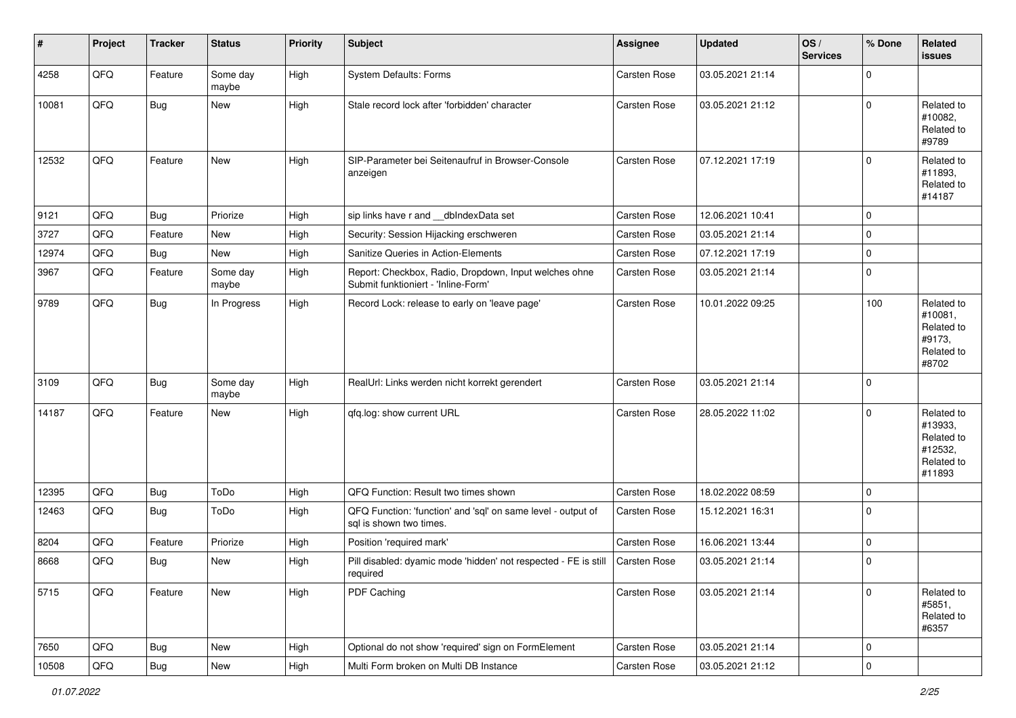| #     | Project | <b>Tracker</b> | <b>Status</b>     | <b>Priority</b> | <b>Subject</b>                                                                               | <b>Assignee</b>     | <b>Updated</b>   | OS/<br><b>Services</b> | % Done         | Related<br><b>issues</b>                                               |
|-------|---------|----------------|-------------------|-----------------|----------------------------------------------------------------------------------------------|---------------------|------------------|------------------------|----------------|------------------------------------------------------------------------|
| 4258  | QFQ     | Feature        | Some day<br>maybe | High            | <b>System Defaults: Forms</b>                                                                | <b>Carsten Rose</b> | 03.05.2021 21:14 |                        | $\Omega$       |                                                                        |
| 10081 | QFQ     | Bug            | <b>New</b>        | High            | Stale record lock after 'forbidden' character                                                | <b>Carsten Rose</b> | 03.05.2021 21:12 |                        | $\Omega$       | Related to<br>#10082,<br>Related to<br>#9789                           |
| 12532 | QFQ     | Feature        | <b>New</b>        | High            | SIP-Parameter bei Seitenaufruf in Browser-Console<br>anzeigen                                | <b>Carsten Rose</b> | 07.12.2021 17:19 |                        | $\overline{0}$ | Related to<br>#11893,<br>Related to<br>#14187                          |
| 9121  | QFQ     | Bug            | Priorize          | High            | sip links have r and __dbIndexData set                                                       | <b>Carsten Rose</b> | 12.06.2021 10:41 |                        | $\mathbf 0$    |                                                                        |
| 3727  | QFQ     | Feature        | <b>New</b>        | High            | Security: Session Hijacking erschweren                                                       | Carsten Rose        | 03.05.2021 21:14 |                        | $\mathbf 0$    |                                                                        |
| 12974 | QFQ     | <b>Bug</b>     | New               | High            | Sanitize Queries in Action-Elements                                                          | <b>Carsten Rose</b> | 07.12.2021 17:19 |                        | $\mathbf 0$    |                                                                        |
| 3967  | QFQ     | Feature        | Some day<br>maybe | High            | Report: Checkbox, Radio, Dropdown, Input welches ohne<br>Submit funktioniert - 'Inline-Form' | Carsten Rose        | 03.05.2021 21:14 |                        | $\overline{0}$ |                                                                        |
| 9789  | QFQ     | Bug            | In Progress       | High            | Record Lock: release to early on 'leave page'                                                | Carsten Rose        | 10.01.2022 09:25 |                        | 100            | Related to<br>#10081,<br>Related to<br>#9173,<br>Related to<br>#8702   |
| 3109  | QFQ     | Bug            | Some day<br>maybe | High            | RealUrl: Links werden nicht korrekt gerendert                                                | Carsten Rose        | 03.05.2021 21:14 |                        | $\overline{0}$ |                                                                        |
| 14187 | QFQ     | Feature        | <b>New</b>        | High            | qfq.log: show current URL                                                                    | <b>Carsten Rose</b> | 28.05.2022 11:02 |                        | $\overline{0}$ | Related to<br>#13933,<br>Related to<br>#12532,<br>Related to<br>#11893 |
| 12395 | QFQ     | Bug            | ToDo              | High            | QFQ Function: Result two times shown                                                         | Carsten Rose        | 18.02.2022 08:59 |                        | $\mathbf 0$    |                                                                        |
| 12463 | QFQ     | Bug            | ToDo              | High            | QFQ Function: 'function' and 'sql' on same level - output of<br>sql is shown two times.      | Carsten Rose        | 15.12.2021 16:31 |                        | $\overline{0}$ |                                                                        |
| 8204  | QFQ     | Feature        | Priorize          | High            | Position 'required mark'                                                                     | <b>Carsten Rose</b> | 16.06.2021 13:44 |                        | $\mathbf 0$    |                                                                        |
| 8668  | QFQ     | Bug            | <b>New</b>        | High            | Pill disabled: dyamic mode 'hidden' not respected - FE is still<br>required                  | <b>Carsten Rose</b> | 03.05.2021 21:14 |                        | $\overline{0}$ |                                                                        |
| 5715  | QFQ     | Feature        | New               | High            | PDF Caching                                                                                  | Carsten Rose        | 03.05.2021 21:14 |                        | $\Omega$       | Related to<br>#5851,<br>Related to<br>#6357                            |
| 7650  | QFQ     | <b>Bug</b>     | New               | High            | Optional do not show 'required' sign on FormElement                                          | Carsten Rose        | 03.05.2021 21:14 |                        | $\overline{0}$ |                                                                        |
| 10508 | QFQ     | <b>Bug</b>     | New               | High            | Multi Form broken on Multi DB Instance                                                       | Carsten Rose        | 03.05.2021 21:12 |                        | $\overline{0}$ |                                                                        |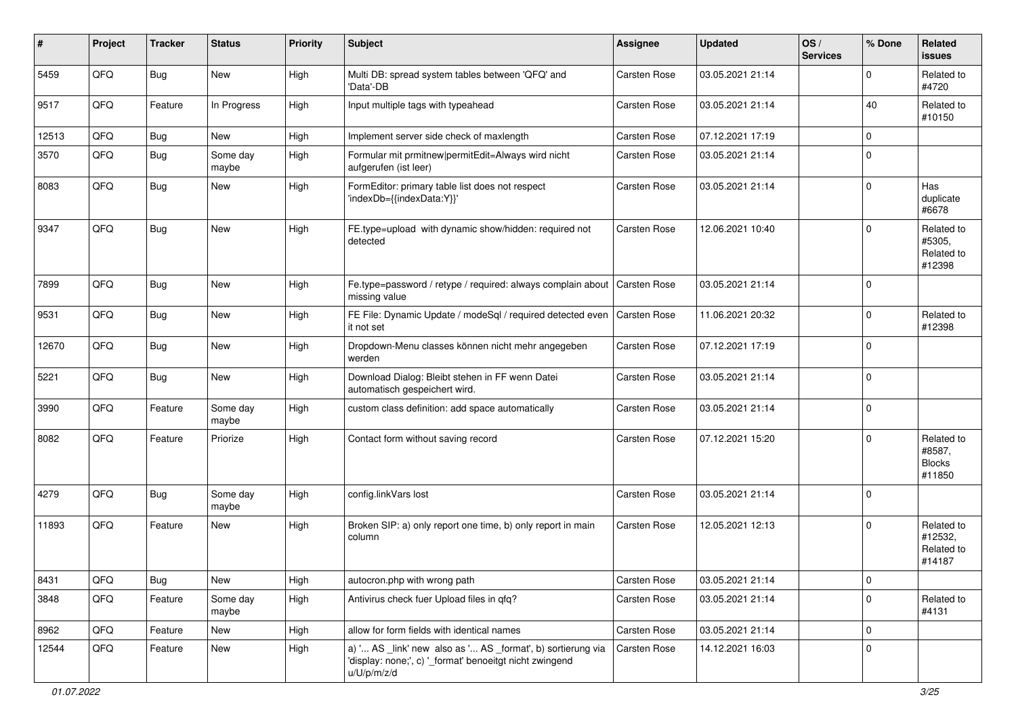| #     | Project | <b>Tracker</b> | <b>Status</b>     | <b>Priority</b> | <b>Subject</b>                                                                                                                        | Assignee            | <b>Updated</b>   | OS/<br><b>Services</b> | % Done      | Related<br><b>issues</b>                        |
|-------|---------|----------------|-------------------|-----------------|---------------------------------------------------------------------------------------------------------------------------------------|---------------------|------------------|------------------------|-------------|-------------------------------------------------|
| 5459  | QFQ     | Bug            | New               | High            | Multi DB: spread system tables between 'QFQ' and<br>'Data'-DB                                                                         | Carsten Rose        | 03.05.2021 21:14 |                        | $\Omega$    | Related to<br>#4720                             |
| 9517  | QFQ     | Feature        | In Progress       | High            | Input multiple tags with typeahead                                                                                                    | <b>Carsten Rose</b> | 03.05.2021 21:14 |                        | 40          | Related to<br>#10150                            |
| 12513 | QFQ     | Bug            | New               | High            | Implement server side check of maxlength                                                                                              | <b>Carsten Rose</b> | 07.12.2021 17:19 |                        | $\mathbf 0$ |                                                 |
| 3570  | QFQ     | Bug            | Some day<br>maybe | High            | Formular mit prmitnew permitEdit=Always wird nicht<br>aufgerufen (ist leer)                                                           | Carsten Rose        | 03.05.2021 21:14 |                        | $\Omega$    |                                                 |
| 8083  | QFQ     | Bug            | New               | High            | FormEditor: primary table list does not respect<br>'indexDb={{indexData:Y}}'                                                          | Carsten Rose        | 03.05.2021 21:14 |                        | $\Omega$    | Has<br>duplicate<br>#6678                       |
| 9347  | QFQ     | <b>Bug</b>     | <b>New</b>        | High            | FE.type=upload with dynamic show/hidden: required not<br>detected                                                                     | <b>Carsten Rose</b> | 12.06.2021 10:40 |                        | $\Omega$    | Related to<br>#5305,<br>Related to<br>#12398    |
| 7899  | QFQ     | Bug            | New               | High            | Fe.type=password / retype / required: always complain about   Carsten Rose<br>missing value                                           |                     | 03.05.2021 21:14 |                        | $\mathbf 0$ |                                                 |
| 9531  | QFQ     | Bug            | New               | High            | FE File: Dynamic Update / modeSql / required detected even<br>it not set                                                              | Carsten Rose        | 11.06.2021 20:32 |                        | $\Omega$    | Related to<br>#12398                            |
| 12670 | QFQ     | Bug            | New               | High            | Dropdown-Menu classes können nicht mehr angegeben<br>werden                                                                           | <b>Carsten Rose</b> | 07.12.2021 17:19 |                        | $\Omega$    |                                                 |
| 5221  | QFQ     | <b>Bug</b>     | New               | High            | Download Dialog: Bleibt stehen in FF wenn Datei<br>automatisch gespeichert wird.                                                      | Carsten Rose        | 03.05.2021 21:14 |                        | $\mathbf 0$ |                                                 |
| 3990  | QFQ     | Feature        | Some day<br>maybe | High            | custom class definition: add space automatically                                                                                      | Carsten Rose        | 03.05.2021 21:14 |                        | 0           |                                                 |
| 8082  | QFQ     | Feature        | Priorize          | High            | Contact form without saving record                                                                                                    | <b>Carsten Rose</b> | 07.12.2021 15:20 |                        | $\Omega$    | Related to<br>#8587,<br><b>Blocks</b><br>#11850 |
| 4279  | QFQ     | <b>Bug</b>     | Some day<br>maybe | High            | config.linkVars lost                                                                                                                  | <b>Carsten Rose</b> | 03.05.2021 21:14 |                        | 0           |                                                 |
| 11893 | QFQ     | Feature        | New               | High            | Broken SIP: a) only report one time, b) only report in main<br>column                                                                 | <b>Carsten Rose</b> | 12.05.2021 12:13 |                        | $\Omega$    | Related to<br>#12532,<br>Related to<br>#14187   |
| 8431  | QFQ     | <b>Bug</b>     | New               | High            | autocron.php with wrong path                                                                                                          | Carsten Rose        | 03.05.2021 21:14 |                        | 0           |                                                 |
| 3848  | QFQ     | Feature        | Some day<br>maybe | High            | Antivirus check fuer Upload files in qfq?                                                                                             | Carsten Rose        | 03.05.2021 21:14 |                        | $\mathbf 0$ | Related to<br>#4131                             |
| 8962  | QFQ     | Feature        | New               | High            | allow for form fields with identical names                                                                                            | Carsten Rose        | 03.05.2021 21:14 |                        | $\mathbf 0$ |                                                 |
| 12544 | QFQ     | Feature        | New               | High            | a) ' AS _link' new also as ' AS _format', b) sortierung via<br>'display: none;', c) '_format' benoeitgt nicht zwingend<br>u/U/p/m/z/d | Carsten Rose        | 14.12.2021 16:03 |                        | $\Omega$    |                                                 |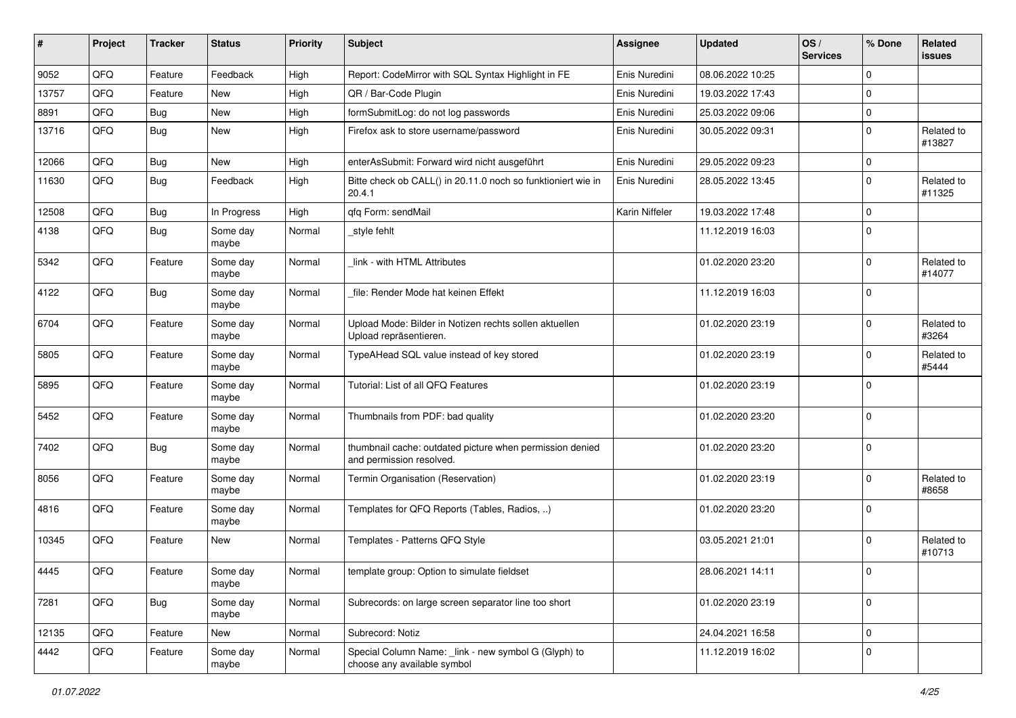| ∦     | Project | <b>Tracker</b> | <b>Status</b>     | Priority | <b>Subject</b>                                                                       | <b>Assignee</b> | <b>Updated</b>   | OS/<br><b>Services</b> | % Done      | Related<br>issues    |
|-------|---------|----------------|-------------------|----------|--------------------------------------------------------------------------------------|-----------------|------------------|------------------------|-------------|----------------------|
| 9052  | QFQ     | Feature        | Feedback          | High     | Report: CodeMirror with SQL Syntax Highlight in FE                                   | Enis Nuredini   | 08.06.2022 10:25 |                        | $\Omega$    |                      |
| 13757 | QFQ     | Feature        | <b>New</b>        | High     | QR / Bar-Code Plugin                                                                 | Enis Nuredini   | 19.03.2022 17:43 |                        | 0           |                      |
| 8891  | QFQ     | Bug            | New               | High     | formSubmitLog: do not log passwords                                                  | Enis Nuredini   | 25.03.2022 09:06 |                        | $\mathbf 0$ |                      |
| 13716 | QFQ     | <b>Bug</b>     | New               | High     | Firefox ask to store username/password                                               | Enis Nuredini   | 30.05.2022 09:31 |                        | $\mathbf 0$ | Related to<br>#13827 |
| 12066 | QFQ     | Bug            | New               | High     | enterAsSubmit: Forward wird nicht ausgeführt                                         | Enis Nuredini   | 29.05.2022 09:23 |                        | 0           |                      |
| 11630 | QFQ     | Bug            | Feedback          | High     | Bitte check ob CALL() in 20.11.0 noch so funktioniert wie in<br>20.4.1               | Enis Nuredini   | 28.05.2022 13:45 |                        | 0           | Related to<br>#11325 |
| 12508 | QFQ     | Bug            | In Progress       | High     | qfq Form: sendMail                                                                   | Karin Niffeler  | 19.03.2022 17:48 |                        | $\mathbf 0$ |                      |
| 4138  | QFQ     | Bug            | Some day<br>maybe | Normal   | style fehlt                                                                          |                 | 11.12.2019 16:03 |                        | $\Omega$    |                      |
| 5342  | QFQ     | Feature        | Some day<br>maybe | Normal   | link - with HTML Attributes                                                          |                 | 01.02.2020 23:20 |                        | $\Omega$    | Related to<br>#14077 |
| 4122  | QFQ     | Bug            | Some day<br>maybe | Normal   | file: Render Mode hat keinen Effekt                                                  |                 | 11.12.2019 16:03 |                        | 0           |                      |
| 6704  | QFQ     | Feature        | Some day<br>maybe | Normal   | Upload Mode: Bilder in Notizen rechts sollen aktuellen<br>Upload repräsentieren.     |                 | 01.02.2020 23:19 |                        | 0           | Related to<br>#3264  |
| 5805  | QFQ     | Feature        | Some day<br>maybe | Normal   | TypeAHead SQL value instead of key stored                                            |                 | 01.02.2020 23:19 |                        | $\Omega$    | Related to<br>#5444  |
| 5895  | QFQ     | Feature        | Some day<br>maybe | Normal   | Tutorial: List of all QFQ Features                                                   |                 | 01.02.2020 23:19 |                        | $\mathbf 0$ |                      |
| 5452  | QFQ     | Feature        | Some day<br>maybe | Normal   | Thumbnails from PDF: bad quality                                                     |                 | 01.02.2020 23:20 |                        | $\Omega$    |                      |
| 7402  | QFQ     | <b>Bug</b>     | Some day<br>maybe | Normal   | thumbnail cache: outdated picture when permission denied<br>and permission resolved. |                 | 01.02.2020 23:20 |                        | $\Omega$    |                      |
| 8056  | QFQ     | Feature        | Some day<br>maybe | Normal   | Termin Organisation (Reservation)                                                    |                 | 01.02.2020 23:19 |                        | 0           | Related to<br>#8658  |
| 4816  | QFQ     | Feature        | Some day<br>maybe | Normal   | Templates for QFQ Reports (Tables, Radios, )                                         |                 | 01.02.2020 23:20 |                        | 0           |                      |
| 10345 | QFQ     | Feature        | New               | Normal   | Templates - Patterns QFQ Style                                                       |                 | 03.05.2021 21:01 |                        | $\Omega$    | Related to<br>#10713 |
| 4445  | QFG     | Feature        | Some day<br>maybe | Normal   | template group: Option to simulate fieldset                                          |                 | 28.06.2021 14:11 |                        | $\Omega$    |                      |
| 7281  | QFO     | <b>Bug</b>     | Some day<br>maybe | Normal   | Subrecords: on large screen separator line too short                                 |                 | 01.02.2020 23:19 |                        | $\mathbf 0$ |                      |
| 12135 | QFQ     | Feature        | New               | Normal   | Subrecord: Notiz                                                                     |                 | 24.04.2021 16:58 |                        | $\mathbf 0$ |                      |
| 4442  | QFG     | Feature        | Some day<br>maybe | Normal   | Special Column Name: _link - new symbol G (Glyph) to<br>choose any available symbol  |                 | 11.12.2019 16:02 |                        | 0           |                      |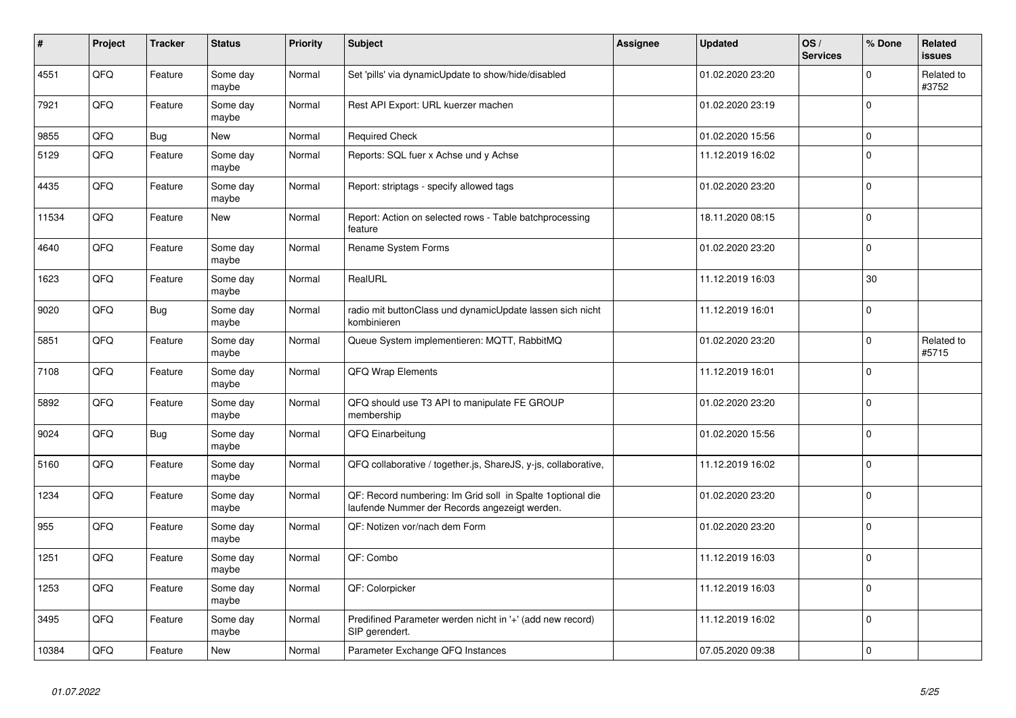| $\vert$ # | Project | <b>Tracker</b> | <b>Status</b>     | <b>Priority</b> | <b>Subject</b>                                                                                               | <b>Assignee</b> | <b>Updated</b>   | OS/<br><b>Services</b> | % Done      | Related<br><b>issues</b> |
|-----------|---------|----------------|-------------------|-----------------|--------------------------------------------------------------------------------------------------------------|-----------------|------------------|------------------------|-------------|--------------------------|
| 4551      | QFQ     | Feature        | Some day<br>maybe | Normal          | Set 'pills' via dynamicUpdate to show/hide/disabled                                                          |                 | 01.02.2020 23:20 |                        | $\Omega$    | Related to<br>#3752      |
| 7921      | QFQ     | Feature        | Some day<br>maybe | Normal          | Rest API Export: URL kuerzer machen                                                                          |                 | 01.02.2020 23:19 |                        | $\Omega$    |                          |
| 9855      | QFQ     | <b>Bug</b>     | New               | Normal          | <b>Required Check</b>                                                                                        |                 | 01.02.2020 15:56 |                        | $\mathbf 0$ |                          |
| 5129      | QFQ     | Feature        | Some day<br>maybe | Normal          | Reports: SQL fuer x Achse und y Achse                                                                        |                 | 11.12.2019 16:02 |                        | $\Omega$    |                          |
| 4435      | QFQ     | Feature        | Some day<br>maybe | Normal          | Report: striptags - specify allowed tags                                                                     |                 | 01.02.2020 23:20 |                        | $\Omega$    |                          |
| 11534     | QFQ     | Feature        | <b>New</b>        | Normal          | Report: Action on selected rows - Table batchprocessing<br>feature                                           |                 | 18.11.2020 08:15 |                        | $\Omega$    |                          |
| 4640      | QFQ     | Feature        | Some day<br>maybe | Normal          | Rename System Forms                                                                                          |                 | 01.02.2020 23:20 |                        | $\Omega$    |                          |
| 1623      | QFQ     | Feature        | Some day<br>maybe | Normal          | RealURL                                                                                                      |                 | 11.12.2019 16:03 |                        | 30          |                          |
| 9020      | QFQ     | <b>Bug</b>     | Some day<br>maybe | Normal          | radio mit buttonClass und dynamicUpdate lassen sich nicht<br>kombinieren                                     |                 | 11.12.2019 16:01 |                        | $\Omega$    |                          |
| 5851      | QFQ     | Feature        | Some day<br>maybe | Normal          | Queue System implementieren: MQTT, RabbitMQ                                                                  |                 | 01.02.2020 23:20 |                        | $\Omega$    | Related to<br>#5715      |
| 7108      | QFQ     | Feature        | Some day<br>maybe | Normal          | QFQ Wrap Elements                                                                                            |                 | 11.12.2019 16:01 |                        | $\Omega$    |                          |
| 5892      | QFQ     | Feature        | Some day<br>maybe | Normal          | QFQ should use T3 API to manipulate FE GROUP<br>membership                                                   |                 | 01.02.2020 23:20 |                        | $\Omega$    |                          |
| 9024      | QFQ     | <b>Bug</b>     | Some day<br>maybe | Normal          | QFQ Einarbeitung                                                                                             |                 | 01.02.2020 15:56 |                        | $\mathbf 0$ |                          |
| 5160      | QFQ     | Feature        | Some day<br>maybe | Normal          | QFQ collaborative / together.js, ShareJS, y-js, collaborative,                                               |                 | 11.12.2019 16:02 |                        | $\mathbf 0$ |                          |
| 1234      | QFQ     | Feature        | Some day<br>maybe | Normal          | QF: Record numbering: Im Grid soll in Spalte 1 optional die<br>laufende Nummer der Records angezeigt werden. |                 | 01.02.2020 23:20 |                        | $\Omega$    |                          |
| 955       | QFQ     | Feature        | Some day<br>maybe | Normal          | QF: Notizen vor/nach dem Form                                                                                |                 | 01.02.2020 23:20 |                        | $\Omega$    |                          |
| 1251      | QFQ     | Feature        | Some day<br>maybe | Normal          | QF: Combo                                                                                                    |                 | 11.12.2019 16:03 |                        | $\Omega$    |                          |
| 1253      | QFQ     | Feature        | Some day<br>maybe | Normal          | QF: Colorpicker                                                                                              |                 | 11.12.2019 16:03 |                        | $\mathbf 0$ |                          |
| 3495      | QFQ     | Feature        | Some day<br>maybe | Normal          | Predifined Parameter werden nicht in '+' (add new record)<br>SIP gerendert.                                  |                 | 11.12.2019 16:02 |                        | $\Omega$    |                          |
| 10384     | QFQ     | Feature        | New               | Normal          | Parameter Exchange QFQ Instances                                                                             |                 | 07.05.2020 09:38 |                        | $\Omega$    |                          |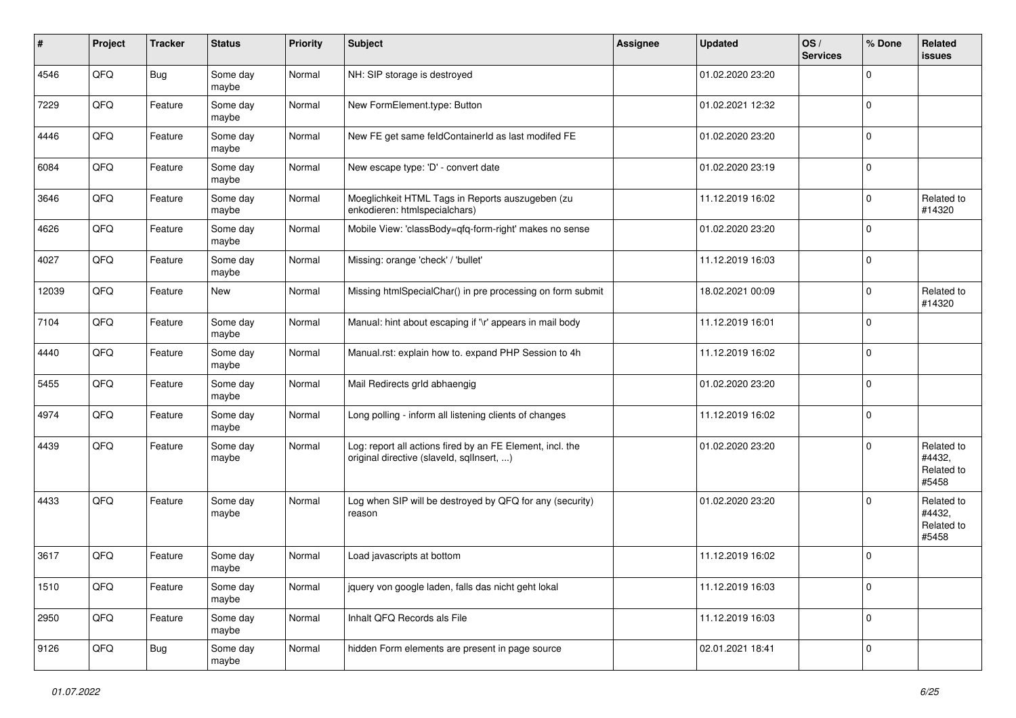| #     | Project | <b>Tracker</b> | <b>Status</b>     | <b>Priority</b> | <b>Subject</b>                                                                                         | Assignee | <b>Updated</b>   | OS/<br><b>Services</b> | % Done         | Related<br>issues                           |
|-------|---------|----------------|-------------------|-----------------|--------------------------------------------------------------------------------------------------------|----------|------------------|------------------------|----------------|---------------------------------------------|
| 4546  | QFQ     | Bug            | Some day<br>maybe | Normal          | NH: SIP storage is destroyed                                                                           |          | 01.02.2020 23:20 |                        | $\mathbf 0$    |                                             |
| 7229  | QFQ     | Feature        | Some day<br>maybe | Normal          | New FormElement.type: Button                                                                           |          | 01.02.2021 12:32 |                        | $\overline{0}$ |                                             |
| 4446  | QFQ     | Feature        | Some day<br>maybe | Normal          | New FE get same feldContainerId as last modifed FE                                                     |          | 01.02.2020 23:20 |                        | $\mathbf 0$    |                                             |
| 6084  | QFQ     | Feature        | Some day<br>maybe | Normal          | New escape type: 'D' - convert date                                                                    |          | 01.02.2020 23:19 |                        | $\mathbf 0$    |                                             |
| 3646  | QFQ     | Feature        | Some day<br>maybe | Normal          | Moeglichkeit HTML Tags in Reports auszugeben (zu<br>enkodieren: htmlspecialchars)                      |          | 11.12.2019 16:02 |                        | $\mathbf 0$    | Related to<br>#14320                        |
| 4626  | QFQ     | Feature        | Some day<br>maybe | Normal          | Mobile View: 'classBody=qfq-form-right' makes no sense                                                 |          | 01.02.2020 23:20 |                        | $\Omega$       |                                             |
| 4027  | QFQ     | Feature        | Some day<br>maybe | Normal          | Missing: orange 'check' / 'bullet'                                                                     |          | 11.12.2019 16:03 |                        | $\overline{0}$ |                                             |
| 12039 | QFQ     | Feature        | <b>New</b>        | Normal          | Missing htmlSpecialChar() in pre processing on form submit                                             |          | 18.02.2021 00:09 |                        | $\mathbf 0$    | Related to<br>#14320                        |
| 7104  | QFQ     | Feature        | Some day<br>maybe | Normal          | Manual: hint about escaping if '\r' appears in mail body                                               |          | 11.12.2019 16:01 |                        | $\overline{0}$ |                                             |
| 4440  | QFQ     | Feature        | Some day<br>maybe | Normal          | Manual.rst: explain how to. expand PHP Session to 4h                                                   |          | 11.12.2019 16:02 |                        | $\mathbf 0$    |                                             |
| 5455  | QFQ     | Feature        | Some day<br>maybe | Normal          | Mail Redirects grld abhaengig                                                                          |          | 01.02.2020 23:20 |                        | $\overline{0}$ |                                             |
| 4974  | QFQ     | Feature        | Some day<br>maybe | Normal          | Long polling - inform all listening clients of changes                                                 |          | 11.12.2019 16:02 |                        | $\Omega$       |                                             |
| 4439  | QFQ     | Feature        | Some day<br>maybe | Normal          | Log: report all actions fired by an FE Element, incl. the<br>original directive (slaveld, sqllnsert, ) |          | 01.02.2020 23:20 |                        | $\Omega$       | Related to<br>#4432,<br>Related to<br>#5458 |
| 4433  | QFQ     | Feature        | Some day<br>maybe | Normal          | Log when SIP will be destroyed by QFQ for any (security)<br>reason                                     |          | 01.02.2020 23:20 |                        | $\Omega$       | Related to<br>#4432,<br>Related to<br>#5458 |
| 3617  | QFQ     | Feature        | Some day<br>maybe | Normal          | Load javascripts at bottom                                                                             |          | 11.12.2019 16:02 |                        | $\overline{0}$ |                                             |
| 1510  | QFQ     | Feature        | Some day<br>maybe | Normal          | jquery von google laden, falls das nicht geht lokal                                                    |          | 11.12.2019 16:03 |                        | $\overline{0}$ |                                             |
| 2950  | QFQ     | Feature        | Some day<br>maybe | Normal          | Inhalt QFQ Records als File                                                                            |          | 11.12.2019 16:03 |                        | $\overline{0}$ |                                             |
| 9126  | QFQ     | <b>Bug</b>     | Some day<br>maybe | Normal          | hidden Form elements are present in page source                                                        |          | 02.01.2021 18:41 |                        | $\mathbf 0$    |                                             |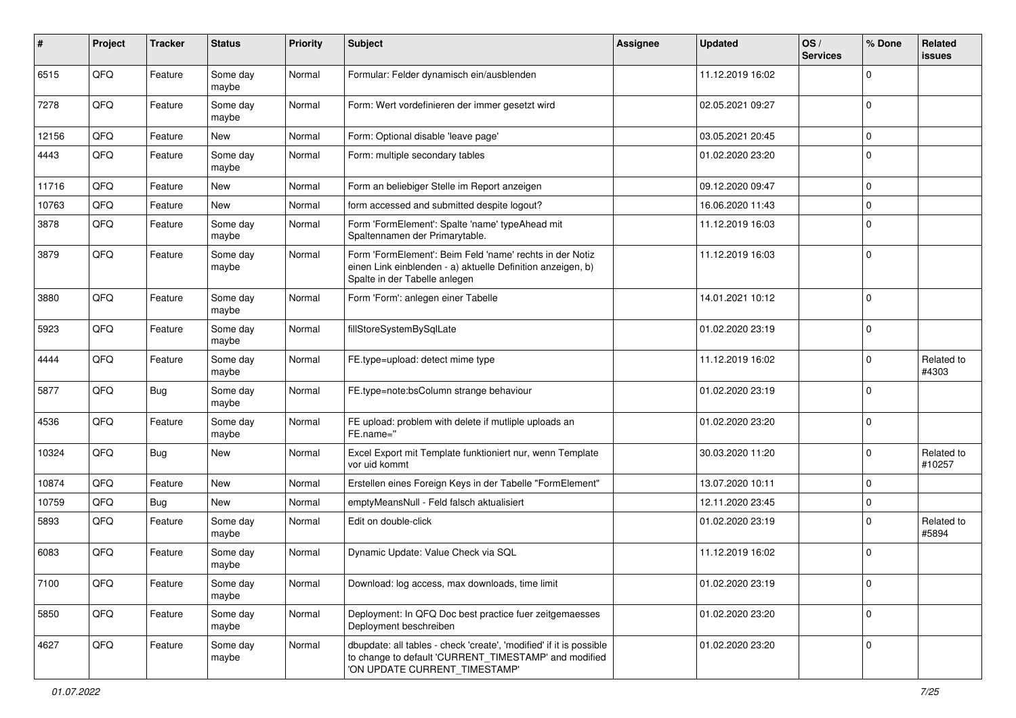| #     | Project | <b>Tracker</b> | <b>Status</b>     | <b>Priority</b> | <b>Subject</b>                                                                                                                                                | <b>Assignee</b> | <b>Updated</b>   | OS/<br><b>Services</b> | % Done       | Related<br>issues    |
|-------|---------|----------------|-------------------|-----------------|---------------------------------------------------------------------------------------------------------------------------------------------------------------|-----------------|------------------|------------------------|--------------|----------------------|
| 6515  | QFQ     | Feature        | Some day<br>maybe | Normal          | Formular: Felder dynamisch ein/ausblenden                                                                                                                     |                 | 11.12.2019 16:02 |                        | 0            |                      |
| 7278  | QFQ     | Feature        | Some day<br>maybe | Normal          | Form: Wert vordefinieren der immer gesetzt wird                                                                                                               |                 | 02.05.2021 09:27 |                        | 0            |                      |
| 12156 | QFQ     | Feature        | New               | Normal          | Form: Optional disable 'leave page'                                                                                                                           |                 | 03.05.2021 20:45 |                        | 0            |                      |
| 4443  | QFQ     | Feature        | Some day<br>maybe | Normal          | Form: multiple secondary tables                                                                                                                               |                 | 01.02.2020 23:20 |                        | $\Omega$     |                      |
| 11716 | QFQ     | Feature        | New               | Normal          | Form an beliebiger Stelle im Report anzeigen                                                                                                                  |                 | 09.12.2020 09:47 |                        | $\mathbf 0$  |                      |
| 10763 | QFQ     | Feature        | New               | Normal          | form accessed and submitted despite logout?                                                                                                                   |                 | 16.06.2020 11:43 |                        | $\mathbf 0$  |                      |
| 3878  | QFQ     | Feature        | Some day<br>maybe | Normal          | Form 'FormElement': Spalte 'name' typeAhead mit<br>Spaltennamen der Primarytable.                                                                             |                 | 11.12.2019 16:03 |                        | $\Omega$     |                      |
| 3879  | QFQ     | Feature        | Some day<br>maybe | Normal          | Form 'FormElement': Beim Feld 'name' rechts in der Notiz<br>einen Link einblenden - a) aktuelle Definition anzeigen, b)<br>Spalte in der Tabelle anlegen      |                 | 11.12.2019 16:03 |                        | $\mathbf{0}$ |                      |
| 3880  | QFQ     | Feature        | Some day<br>maybe | Normal          | Form 'Form': anlegen einer Tabelle                                                                                                                            |                 | 14.01.2021 10:12 |                        | $\mathbf 0$  |                      |
| 5923  | QFQ     | Feature        | Some day<br>maybe | Normal          | fillStoreSystemBySqlLate                                                                                                                                      |                 | 01.02.2020 23:19 |                        | $\Omega$     |                      |
| 4444  | QFQ     | Feature        | Some day<br>maybe | Normal          | FE.type=upload: detect mime type                                                                                                                              |                 | 11.12.2019 16:02 |                        | $\mathbf 0$  | Related to<br>#4303  |
| 5877  | QFQ     | <b>Bug</b>     | Some day<br>maybe | Normal          | FE.type=note:bsColumn strange behaviour                                                                                                                       |                 | 01.02.2020 23:19 |                        | $\Omega$     |                      |
| 4536  | QFQ     | Feature        | Some day<br>maybe | Normal          | FE upload: problem with delete if mutliple uploads an<br>FE.name="                                                                                            |                 | 01.02.2020 23:20 |                        | $\mathbf 0$  |                      |
| 10324 | QFQ     | Bug            | New               | Normal          | Excel Export mit Template funktioniert nur, wenn Template<br>vor uid kommt                                                                                    |                 | 30.03.2020 11:20 |                        | $\mathbf 0$  | Related to<br>#10257 |
| 10874 | QFQ     | Feature        | New               | Normal          | Erstellen eines Foreign Keys in der Tabelle "FormElement"                                                                                                     |                 | 13.07.2020 10:11 |                        | $\mathbf 0$  |                      |
| 10759 | QFQ     | <b>Bug</b>     | <b>New</b>        | Normal          | emptyMeansNull - Feld falsch aktualisiert                                                                                                                     |                 | 12.11.2020 23:45 |                        | $\mathbf 0$  |                      |
| 5893  | QFQ     | Feature        | Some day<br>maybe | Normal          | Edit on double-click                                                                                                                                          |                 | 01.02.2020 23:19 |                        | $\Omega$     | Related to<br>#5894  |
| 6083  | QFQ     | Feature        | Some day<br>maybe | Normal          | Dynamic Update: Value Check via SQL                                                                                                                           |                 | 11.12.2019 16:02 |                        | $\mathbf 0$  |                      |
| 7100  | QFQ     | Feature        | Some day<br>maybe | Normal          | Download: log access, max downloads, time limit                                                                                                               |                 | 01.02.2020 23:19 |                        | 0            |                      |
| 5850  | QFQ     | Feature        | Some day<br>maybe | Normal          | Deployment: In QFQ Doc best practice fuer zeitgemaesses<br>Deployment beschreiben                                                                             |                 | 01.02.2020 23:20 |                        | $\mathbf 0$  |                      |
| 4627  | QFQ     | Feature        | Some day<br>maybe | Normal          | dbupdate: all tables - check 'create', 'modified' if it is possible<br>to change to default 'CURRENT_TIMESTAMP' and modified<br>'ON UPDATE CURRENT TIMESTAMP' |                 | 01.02.2020 23:20 |                        | 0            |                      |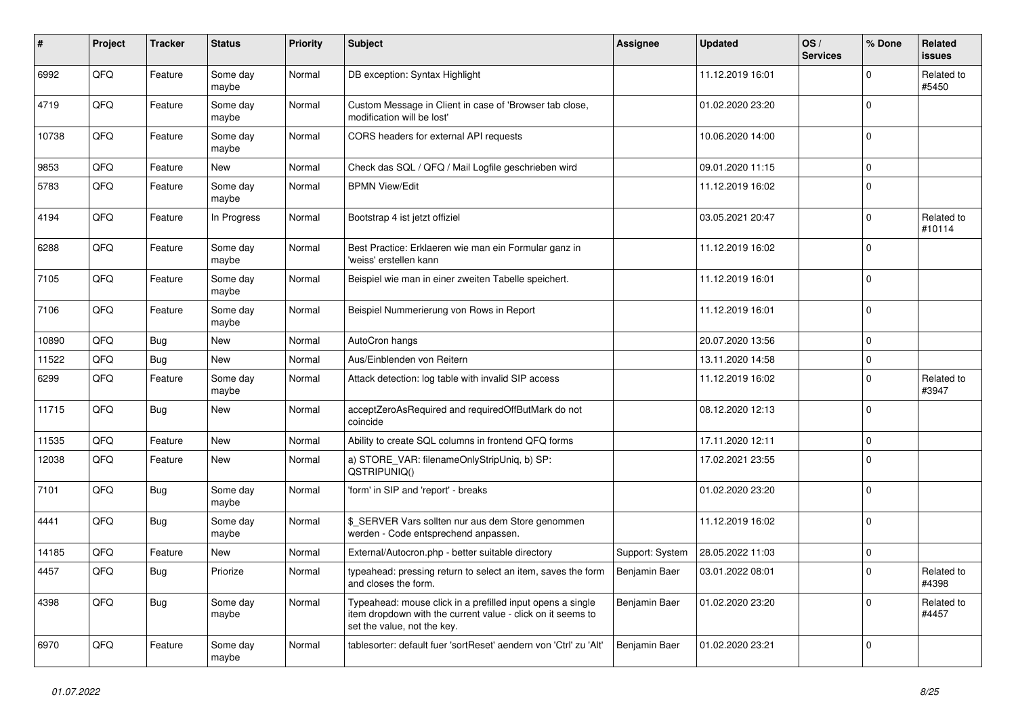| #     | Project | <b>Tracker</b> | <b>Status</b>     | <b>Priority</b> | Subject                                                                                                                                                  | <b>Assignee</b> | <b>Updated</b>   | OS/<br><b>Services</b> | % Done       | Related<br><b>issues</b> |
|-------|---------|----------------|-------------------|-----------------|----------------------------------------------------------------------------------------------------------------------------------------------------------|-----------------|------------------|------------------------|--------------|--------------------------|
| 6992  | QFQ     | Feature        | Some day<br>maybe | Normal          | DB exception: Syntax Highlight                                                                                                                           |                 | 11.12.2019 16:01 |                        | $\Omega$     | Related to<br>#5450      |
| 4719  | QFQ     | Feature        | Some day<br>maybe | Normal          | Custom Message in Client in case of 'Browser tab close,<br>modification will be lost'                                                                    |                 | 01.02.2020 23:20 |                        | $\Omega$     |                          |
| 10738 | QFQ     | Feature        | Some day<br>maybe | Normal          | CORS headers for external API requests                                                                                                                   |                 | 10.06.2020 14:00 |                        | $\Omega$     |                          |
| 9853  | QFQ     | Feature        | New               | Normal          | Check das SQL / QFQ / Mail Logfile geschrieben wird                                                                                                      |                 | 09.01.2020 11:15 |                        | $\mathbf 0$  |                          |
| 5783  | QFQ     | Feature        | Some day<br>maybe | Normal          | <b>BPMN View/Edit</b>                                                                                                                                    |                 | 11.12.2019 16:02 |                        | $\Omega$     |                          |
| 4194  | QFQ     | Feature        | In Progress       | Normal          | Bootstrap 4 ist jetzt offiziel                                                                                                                           |                 | 03.05.2021 20:47 |                        | $\mathbf{0}$ | Related to<br>#10114     |
| 6288  | QFQ     | Feature        | Some day<br>maybe | Normal          | Best Practice: Erklaeren wie man ein Formular ganz in<br>'weiss' erstellen kann                                                                          |                 | 11.12.2019 16:02 |                        | $\mathbf 0$  |                          |
| 7105  | QFQ     | Feature        | Some day<br>maybe | Normal          | Beispiel wie man in einer zweiten Tabelle speichert.                                                                                                     |                 | 11.12.2019 16:01 |                        | $\mathbf 0$  |                          |
| 7106  | QFQ     | Feature        | Some day<br>maybe | Normal          | Beispiel Nummerierung von Rows in Report                                                                                                                 |                 | 11.12.2019 16:01 |                        | $\Omega$     |                          |
| 10890 | QFQ     | Bug            | New               | Normal          | AutoCron hangs                                                                                                                                           |                 | 20.07.2020 13:56 |                        | $\mathbf 0$  |                          |
| 11522 | QFQ     | Bug            | New               | Normal          | Aus/Einblenden von Reitern                                                                                                                               |                 | 13.11.2020 14:58 |                        | $\mathbf 0$  |                          |
| 6299  | QFQ     | Feature        | Some day<br>maybe | Normal          | Attack detection: log table with invalid SIP access                                                                                                      |                 | 11.12.2019 16:02 |                        | $\Omega$     | Related to<br>#3947      |
| 11715 | QFQ     | Bug            | New               | Normal          | acceptZeroAsRequired and requiredOffButMark do not<br>coincide                                                                                           |                 | 08.12.2020 12:13 |                        | $\mathbf{0}$ |                          |
| 11535 | QFQ     | Feature        | New               | Normal          | Ability to create SQL columns in frontend QFQ forms                                                                                                      |                 | 17.11.2020 12:11 |                        | $\mathbf 0$  |                          |
| 12038 | QFQ     | Feature        | New               | Normal          | a) STORE_VAR: filenameOnlyStripUniq, b) SP:<br>QSTRIPUNIQ()                                                                                              |                 | 17.02.2021 23:55 |                        | $\mathbf 0$  |                          |
| 7101  | QFQ     | Bug            | Some day<br>maybe | Normal          | 'form' in SIP and 'report' - breaks                                                                                                                      |                 | 01.02.2020 23:20 |                        | $\mathbf{0}$ |                          |
| 4441  | QFQ     | Bug            | Some day<br>maybe | Normal          | \$_SERVER Vars sollten nur aus dem Store genommen<br>werden - Code entsprechend anpassen.                                                                |                 | 11.12.2019 16:02 |                        | $\mathbf 0$  |                          |
| 14185 | QFQ     | Feature        | New               | Normal          | External/Autocron.php - better suitable directory                                                                                                        | Support: System | 28.05.2022 11:03 |                        | $\mathbf 0$  |                          |
| 4457  | QFG     | Bug            | Priorize          | Normal          | typeahead: pressing return to select an item, saves the form<br>and closes the form.                                                                     | Benjamin Baer   | 03.01.2022 08:01 |                        | 0            | Related to<br>#4398      |
| 4398  | QFQ     | <b>Bug</b>     | Some day<br>maybe | Normal          | Typeahead: mouse click in a prefilled input opens a single<br>item dropdown with the current value - click on it seems to<br>set the value, not the key. | Benjamin Baer   | 01.02.2020 23:20 |                        | $\mathbf 0$  | Related to<br>#4457      |
| 6970  | QFQ     | Feature        | Some day<br>maybe | Normal          | tablesorter: default fuer 'sortReset' aendern von 'Ctrl' zu 'Alt'                                                                                        | Benjamin Baer   | 01.02.2020 23:21 |                        | $\mathbf 0$  |                          |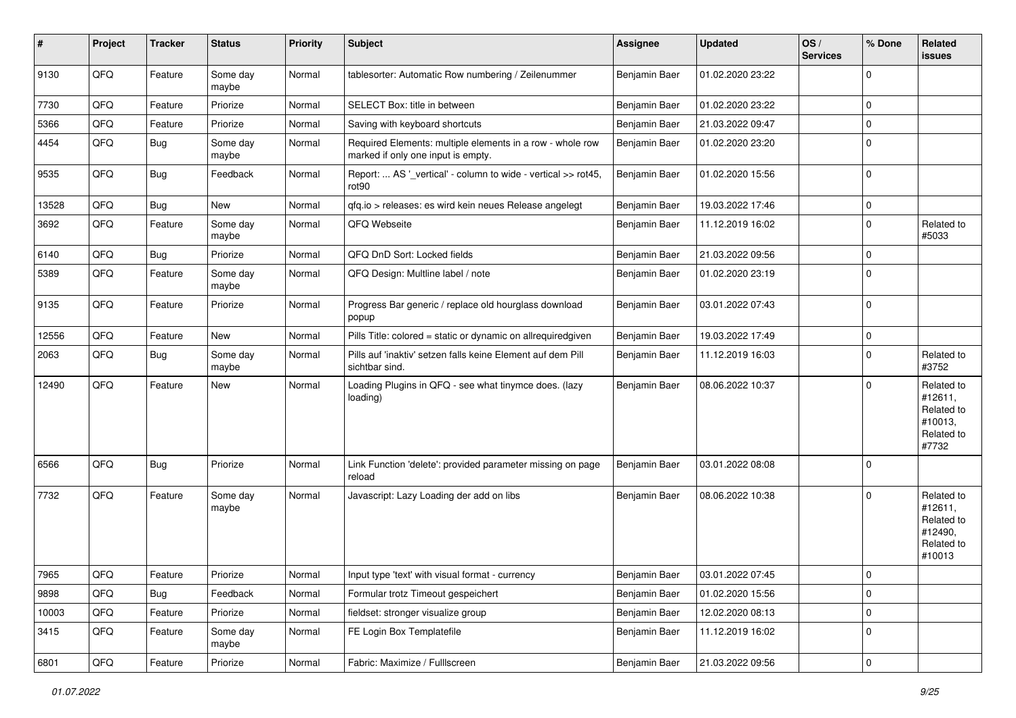| ∦     | Project | <b>Tracker</b> | <b>Status</b>     | <b>Priority</b> | <b>Subject</b>                                                                                  | <b>Assignee</b> | <b>Updated</b>   | OS/<br><b>Services</b> | % Done      | Related<br>issues                                                      |
|-------|---------|----------------|-------------------|-----------------|-------------------------------------------------------------------------------------------------|-----------------|------------------|------------------------|-------------|------------------------------------------------------------------------|
| 9130  | QFQ     | Feature        | Some day<br>maybe | Normal          | tablesorter: Automatic Row numbering / Zeilenummer                                              | Benjamin Baer   | 01.02.2020 23:22 |                        | 0           |                                                                        |
| 7730  | QFQ     | Feature        | Priorize          | Normal          | SELECT Box: title in between                                                                    | Benjamin Baer   | 01.02.2020 23:22 |                        | 0           |                                                                        |
| 5366  | QFQ     | Feature        | Priorize          | Normal          | Saving with keyboard shortcuts                                                                  | Benjamin Baer   | 21.03.2022 09:47 |                        | 0           |                                                                        |
| 4454  | QFQ     | <b>Bug</b>     | Some day<br>maybe | Normal          | Required Elements: multiple elements in a row - whole row<br>marked if only one input is empty. | Benjamin Baer   | 01.02.2020 23:20 |                        | $\Omega$    |                                                                        |
| 9535  | QFQ     | <b>Bug</b>     | Feedback          | Normal          | Report:  AS '_vertical' - column to wide - vertical >> rot45,<br>rot90                          | Benjamin Baer   | 01.02.2020 15:56 |                        | $\mathbf 0$ |                                                                        |
| 13528 | QFQ     | Bug            | New               | Normal          | qfq.io > releases: es wird kein neues Release angelegt                                          | Benjamin Baer   | 19.03.2022 17:46 |                        | $\mathbf 0$ |                                                                        |
| 3692  | QFQ     | Feature        | Some day<br>maybe | Normal          | QFQ Webseite                                                                                    | Benjamin Baer   | 11.12.2019 16:02 |                        | $\Omega$    | Related to<br>#5033                                                    |
| 6140  | QFQ     | Bug            | Priorize          | Normal          | QFQ DnD Sort: Locked fields                                                                     | Benjamin Baer   | 21.03.2022 09:56 |                        | 0           |                                                                        |
| 5389  | QFQ     | Feature        | Some day<br>maybe | Normal          | QFQ Design: Multline label / note                                                               | Benjamin Baer   | 01.02.2020 23:19 |                        | $\Omega$    |                                                                        |
| 9135  | QFQ     | Feature        | Priorize          | Normal          | Progress Bar generic / replace old hourglass download<br>popup                                  | Benjamin Baer   | 03.01.2022 07:43 |                        | $\Omega$    |                                                                        |
| 12556 | QFQ     | Feature        | New               | Normal          | Pills Title: colored = static or dynamic on allrequiredgiven                                    | Benjamin Baer   | 19.03.2022 17:49 |                        | 0           |                                                                        |
| 2063  | QFQ     | <b>Bug</b>     | Some day<br>maybe | Normal          | Pills auf 'inaktiv' setzen falls keine Element auf dem Pill<br>sichtbar sind.                   | Benjamin Baer   | 11.12.2019 16:03 |                        | 0           | Related to<br>#3752                                                    |
| 12490 | QFQ     | Feature        | New               | Normal          | Loading Plugins in QFQ - see what tinymce does. (lazy<br>loading)                               | Benjamin Baer   | 08.06.2022 10:37 |                        | $\Omega$    | Related to<br>#12611,<br>Related to<br>#10013,<br>Related to<br>#7732  |
| 6566  | QFQ     | Bug            | Priorize          | Normal          | Link Function 'delete': provided parameter missing on page<br>reload                            | Benjamin Baer   | 03.01.2022 08:08 |                        | 0           |                                                                        |
| 7732  | QFQ     | Feature        | Some day<br>maybe | Normal          | Javascript: Lazy Loading der add on libs                                                        | Benjamin Baer   | 08.06.2022 10:38 |                        | $\Omega$    | Related to<br>#12611,<br>Related to<br>#12490,<br>Related to<br>#10013 |
| 7965  | QFG     | Feature        | Priorize          | Normal          | Input type 'text' with visual format - currency                                                 | Benjamin Baer   | 03.01.2022 07:45 |                        | 0           |                                                                        |
| 9898  | QFQ     | Bug            | Feedback          | Normal          | Formular trotz Timeout gespeichert                                                              | Benjamin Baer   | 01.02.2020 15:56 |                        | 0           |                                                                        |
| 10003 | QFQ     | Feature        | Priorize          | Normal          | fieldset: stronger visualize group                                                              | Benjamin Baer   | 12.02.2020 08:13 |                        | 0           |                                                                        |
| 3415  | QFQ     | Feature        | Some day<br>maybe | Normal          | FE Login Box Templatefile                                                                       | Benjamin Baer   | 11.12.2019 16:02 |                        | 0           |                                                                        |
| 6801  | QFQ     | Feature        | Priorize          | Normal          | Fabric: Maximize / FullIscreen                                                                  | Benjamin Baer   | 21.03.2022 09:56 |                        | $\mathbf 0$ |                                                                        |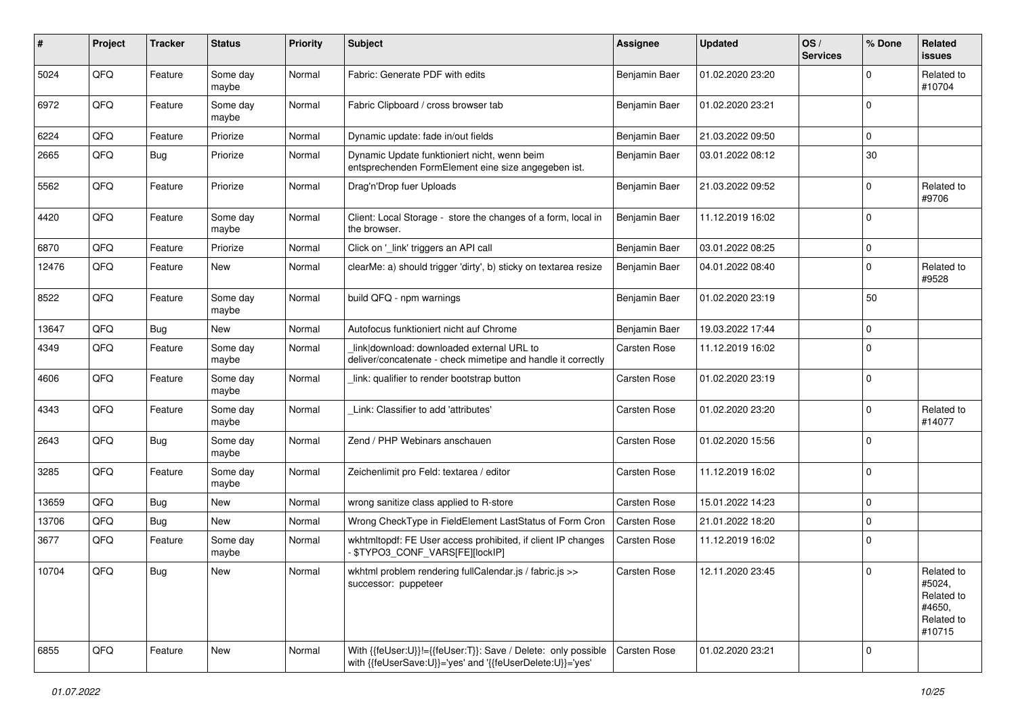| ∦     | Project | <b>Tracker</b> | <b>Status</b>     | <b>Priority</b> | Subject                                                                                                                    | <b>Assignee</b>     | <b>Updated</b>   | OS/<br><b>Services</b> | % Done       | Related<br>issues                                                    |
|-------|---------|----------------|-------------------|-----------------|----------------------------------------------------------------------------------------------------------------------------|---------------------|------------------|------------------------|--------------|----------------------------------------------------------------------|
| 5024  | QFQ     | Feature        | Some day<br>maybe | Normal          | Fabric: Generate PDF with edits                                                                                            | Benjamin Baer       | 01.02.2020 23:20 |                        | <sup>0</sup> | Related to<br>#10704                                                 |
| 6972  | QFQ     | Feature        | Some day<br>maybe | Normal          | Fabric Clipboard / cross browser tab                                                                                       | Benjamin Baer       | 01.02.2020 23:21 |                        | 0            |                                                                      |
| 6224  | QFQ     | Feature        | Priorize          | Normal          | Dynamic update: fade in/out fields                                                                                         | Benjamin Baer       | 21.03.2022 09:50 |                        | 0            |                                                                      |
| 2665  | QFQ     | Bug            | Priorize          | Normal          | Dynamic Update funktioniert nicht, wenn beim<br>entsprechenden FormElement eine size angegeben ist.                        | Benjamin Baer       | 03.01.2022 08:12 |                        | 30           |                                                                      |
| 5562  | QFQ     | Feature        | Priorize          | Normal          | Drag'n'Drop fuer Uploads                                                                                                   | Benjamin Baer       | 21.03.2022 09:52 |                        | 0            | Related to<br>#9706                                                  |
| 4420  | QFQ     | Feature        | Some day<br>maybe | Normal          | Client: Local Storage - store the changes of a form, local in<br>the browser.                                              | Benjamin Baer       | 11.12.2019 16:02 |                        | $\Omega$     |                                                                      |
| 6870  | QFQ     | Feature        | Priorize          | Normal          | Click on '_link' triggers an API call                                                                                      | Benjamin Baer       | 03.01.2022 08:25 |                        | 0            |                                                                      |
| 12476 | QFQ     | Feature        | New               | Normal          | clearMe: a) should trigger 'dirty', b) sticky on textarea resize                                                           | Benjamin Baer       | 04.01.2022 08:40 |                        | 0            | Related to<br>#9528                                                  |
| 8522  | QFQ     | Feature        | Some day<br>maybe | Normal          | build QFQ - npm warnings                                                                                                   | Benjamin Baer       | 01.02.2020 23:19 |                        | 50           |                                                                      |
| 13647 | QFQ     | Bug            | New               | Normal          | Autofocus funktioniert nicht auf Chrome                                                                                    | Benjamin Baer       | 19.03.2022 17:44 |                        | $\mathbf 0$  |                                                                      |
| 4349  | QFQ     | Feature        | Some day<br>maybe | Normal          | link download: downloaded external URL to<br>deliver/concatenate - check mimetipe and handle it correctly                  | <b>Carsten Rose</b> | 11.12.2019 16:02 |                        | $\mathbf 0$  |                                                                      |
| 4606  | QFQ     | Feature        | Some day<br>maybe | Normal          | link: qualifier to render bootstrap button                                                                                 | <b>Carsten Rose</b> | 01.02.2020 23:19 |                        | 0            |                                                                      |
| 4343  | QFQ     | Feature        | Some day<br>maybe | Normal          | Link: Classifier to add 'attributes'                                                                                       | <b>Carsten Rose</b> | 01.02.2020 23:20 |                        | $\Omega$     | Related to<br>#14077                                                 |
| 2643  | QFQ     | <b>Bug</b>     | Some day<br>maybe | Normal          | Zend / PHP Webinars anschauen                                                                                              | <b>Carsten Rose</b> | 01.02.2020 15:56 |                        | $\Omega$     |                                                                      |
| 3285  | QFQ     | Feature        | Some day<br>maybe | Normal          | Zeichenlimit pro Feld: textarea / editor                                                                                   | <b>Carsten Rose</b> | 11.12.2019 16:02 |                        | $\Omega$     |                                                                      |
| 13659 | QFQ     | Bug            | New               | Normal          | wrong sanitize class applied to R-store                                                                                    | <b>Carsten Rose</b> | 15.01.2022 14:23 |                        | $\mathbf 0$  |                                                                      |
| 13706 | QFQ     | Bug            | New               | Normal          | Wrong CheckType in FieldElement LastStatus of Form Cron                                                                    | <b>Carsten Rose</b> | 21.01.2022 18:20 |                        | $\mathbf 0$  |                                                                      |
| 3677  | QFQ     | Feature        | Some day<br>maybe | Normal          | wkhtmltopdf: FE User access prohibited, if client IP changes<br>\$TYPO3_CONF_VARS[FE][lockIP]                              | <b>Carsten Rose</b> | 11.12.2019 16:02 |                        | $\Omega$     |                                                                      |
| 10704 | QFQ     | <b>Bug</b>     | New               | Normal          | wkhtml problem rendering fullCalendar.js / fabric.js >><br>successor: puppeteer                                            | <b>Carsten Rose</b> | 12.11.2020 23:45 |                        | $\Omega$     | Related to<br>#5024,<br>Related to<br>#4650,<br>Related to<br>#10715 |
| 6855  | QFQ     | Feature        | New               | Normal          | With {{feUser:U}}!={{feUser:T}}: Save / Delete: only possible<br>with {{feUserSave:U}}='yes' and '{{feUserDelete:U}}='yes' | Carsten Rose        | 01.02.2020 23:21 |                        | 0            |                                                                      |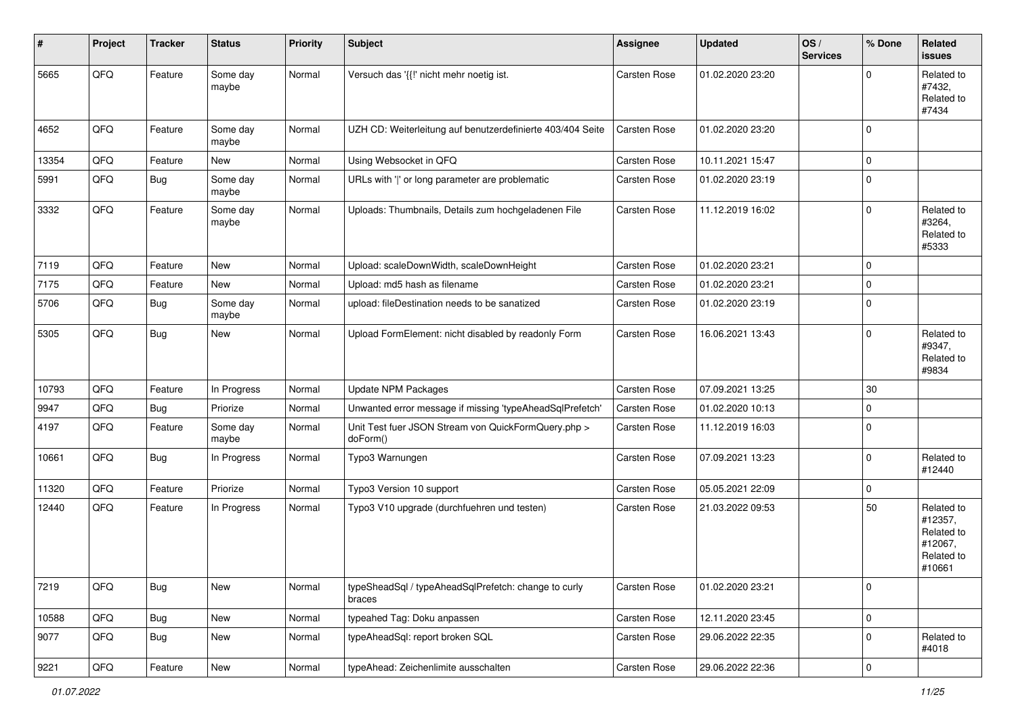| #     | Project | <b>Tracker</b> | <b>Status</b>     | <b>Priority</b> | <b>Subject</b>                                                  | Assignee            | <b>Updated</b>   | OS/<br><b>Services</b> | % Done         | Related<br><b>issues</b>                                               |
|-------|---------|----------------|-------------------|-----------------|-----------------------------------------------------------------|---------------------|------------------|------------------------|----------------|------------------------------------------------------------------------|
| 5665  | QFQ     | Feature        | Some day<br>maybe | Normal          | Versuch das '{{!' nicht mehr noetig ist.                        | Carsten Rose        | 01.02.2020 23:20 |                        | $\mathbf 0$    | Related to<br>#7432,<br>Related to<br>#7434                            |
| 4652  | QFQ     | Feature        | Some day<br>maybe | Normal          | UZH CD: Weiterleitung auf benutzerdefinierte 403/404 Seite      | Carsten Rose        | 01.02.2020 23:20 |                        | $\overline{0}$ |                                                                        |
| 13354 | QFQ     | Feature        | <b>New</b>        | Normal          | Using Websocket in QFQ                                          | <b>Carsten Rose</b> | 10.11.2021 15:47 |                        | $\overline{0}$ |                                                                        |
| 5991  | QFQ     | <b>Bug</b>     | Some day<br>maybe | Normal          | URLs with ' ' or long parameter are problematic                 | Carsten Rose        | 01.02.2020 23:19 |                        | $\overline{0}$ |                                                                        |
| 3332  | QFQ     | Feature        | Some day<br>maybe | Normal          | Uploads: Thumbnails, Details zum hochgeladenen File             | Carsten Rose        | 11.12.2019 16:02 |                        | $\overline{0}$ | Related to<br>#3264,<br>Related to<br>#5333                            |
| 7119  | QFQ     | Feature        | <b>New</b>        | Normal          | Upload: scaleDownWidth, scaleDownHeight                         | <b>Carsten Rose</b> | 01.02.2020 23:21 |                        | $\overline{0}$ |                                                                        |
| 7175  | QFQ     | Feature        | <b>New</b>        | Normal          | Upload: md5 hash as filename                                    | Carsten Rose        | 01.02.2020 23:21 |                        | $\overline{0}$ |                                                                        |
| 5706  | QFQ     | Bug            | Some day<br>maybe | Normal          | upload: fileDestination needs to be sanatized                   | Carsten Rose        | 01.02.2020 23:19 |                        | $\overline{0}$ |                                                                        |
| 5305  | QFQ     | <b>Bug</b>     | <b>New</b>        | Normal          | Upload FormElement: nicht disabled by readonly Form             | <b>Carsten Rose</b> | 16.06.2021 13:43 |                        | $\mathbf 0$    | Related to<br>#9347,<br>Related to<br>#9834                            |
| 10793 | QFQ     | Feature        | In Progress       | Normal          | Update NPM Packages                                             | Carsten Rose        | 07.09.2021 13:25 |                        | 30             |                                                                        |
| 9947  | QFQ     | <b>Bug</b>     | Priorize          | Normal          | Unwanted error message if missing 'typeAheadSqlPrefetch'        | <b>Carsten Rose</b> | 01.02.2020 10:13 |                        | $\overline{0}$ |                                                                        |
| 4197  | QFQ     | Feature        | Some day<br>maybe | Normal          | Unit Test fuer JSON Stream von QuickFormQuery.php ><br>doForm() | Carsten Rose        | 11.12.2019 16:03 |                        | $\overline{0}$ |                                                                        |
| 10661 | QFQ     | Bug            | In Progress       | Normal          | Typo3 Warnungen                                                 | Carsten Rose        | 07.09.2021 13:23 |                        | $\overline{0}$ | Related to<br>#12440                                                   |
| 11320 | QFQ     | Feature        | Priorize          | Normal          | Typo3 Version 10 support                                        | Carsten Rose        | 05.05.2021 22:09 |                        | $\overline{0}$ |                                                                        |
| 12440 | QFQ     | Feature        | In Progress       | Normal          | Typo3 V10 upgrade (durchfuehren und testen)                     | Carsten Rose        | 21.03.2022 09:53 |                        | 50             | Related to<br>#12357,<br>Related to<br>#12067,<br>Related to<br>#10661 |
| 7219  | QFQ     | <b>Bug</b>     | New               | Normal          | typeSheadSql / typeAheadSqlPrefetch: change to curly<br>braces  | Carsten Rose        | 01.02.2020 23:21 |                        | $\overline{0}$ |                                                                        |
| 10588 | QFQ     | <b>Bug</b>     | New               | Normal          | typeahed Tag: Doku anpassen                                     | Carsten Rose        | 12.11.2020 23:45 |                        | $\overline{0}$ |                                                                        |
| 9077  | QFQ     | <b>Bug</b>     | New               | Normal          | typeAheadSql: report broken SQL                                 | Carsten Rose        | 29.06.2022 22:35 |                        | $\overline{0}$ | Related to<br>#4018                                                    |
| 9221  | QFQ     | Feature        | New               | Normal          | typeAhead: Zeichenlimite ausschalten                            | Carsten Rose        | 29.06.2022 22:36 |                        | $\overline{0}$ |                                                                        |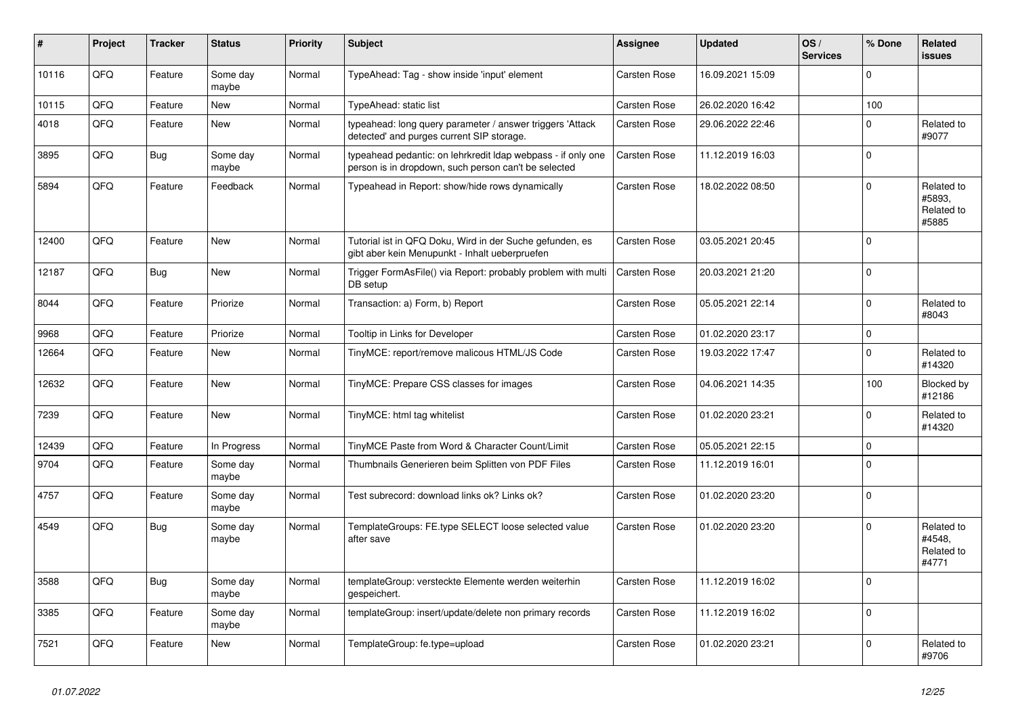| #     | <b>Project</b> | <b>Tracker</b> | <b>Status</b>     | <b>Priority</b> | <b>Subject</b>                                                                                                       | Assignee            | <b>Updated</b>   | OS/<br><b>Services</b> | % Done      | Related<br><b>issues</b>                    |
|-------|----------------|----------------|-------------------|-----------------|----------------------------------------------------------------------------------------------------------------------|---------------------|------------------|------------------------|-------------|---------------------------------------------|
| 10116 | QFQ            | Feature        | Some day<br>maybe | Normal          | TypeAhead: Tag - show inside 'input' element                                                                         | Carsten Rose        | 16.09.2021 15:09 |                        | $\Omega$    |                                             |
| 10115 | QFQ            | Feature        | <b>New</b>        | Normal          | TypeAhead: static list                                                                                               | <b>Carsten Rose</b> | 26.02.2020 16:42 |                        | 100         |                                             |
| 4018  | QFQ            | Feature        | <b>New</b>        | Normal          | typeahead: long query parameter / answer triggers 'Attack<br>detected' and purges current SIP storage.               | Carsten Rose        | 29.06.2022 22:46 |                        | $\mathbf 0$ | Related to<br>#9077                         |
| 3895  | QFQ            | <b>Bug</b>     | Some day<br>maybe | Normal          | typeahead pedantic: on lehrkredit Idap webpass - if only one<br>person is in dropdown, such person can't be selected | <b>Carsten Rose</b> | 11.12.2019 16:03 |                        | $\pmb{0}$   |                                             |
| 5894  | QFQ            | Feature        | Feedback          | Normal          | Typeahead in Report: show/hide rows dynamically                                                                      | <b>Carsten Rose</b> | 18.02.2022 08:50 |                        | $\Omega$    | Related to<br>#5893.<br>Related to<br>#5885 |
| 12400 | QFQ            | Feature        | <b>New</b>        | Normal          | Tutorial ist in QFQ Doku, Wird in der Suche gefunden, es<br>gibt aber kein Menupunkt - Inhalt ueberpruefen           | <b>Carsten Rose</b> | 03.05.2021 20:45 |                        | $\mathbf 0$ |                                             |
| 12187 | QFQ            | Bug            | New               | Normal          | Trigger FormAsFile() via Report: probably problem with multi<br>DB setup                                             | <b>Carsten Rose</b> | 20.03.2021 21:20 |                        | $\mathbf 0$ |                                             |
| 8044  | QFQ            | Feature        | Priorize          | Normal          | Transaction: a) Form, b) Report                                                                                      | Carsten Rose        | 05.05.2021 22:14 |                        | $\Omega$    | Related to<br>#8043                         |
| 9968  | QFQ            | Feature        | Priorize          | Normal          | <b>Tooltip in Links for Developer</b>                                                                                | Carsten Rose        | 01.02.2020 23:17 |                        | $\mathbf 0$ |                                             |
| 12664 | QFQ            | Feature        | New               | Normal          | TinyMCE: report/remove malicous HTML/JS Code                                                                         | Carsten Rose        | 19.03.2022 17:47 |                        | $\mathbf 0$ | Related to<br>#14320                        |
| 12632 | QFQ            | Feature        | New               | Normal          | TinyMCE: Prepare CSS classes for images                                                                              | Carsten Rose        | 04.06.2021 14:35 |                        | 100         | Blocked by<br>#12186                        |
| 7239  | QFQ            | Feature        | <b>New</b>        | Normal          | TinyMCE: html tag whitelist                                                                                          | <b>Carsten Rose</b> | 01.02.2020 23:21 |                        | $\mathbf 0$ | Related to<br>#14320                        |
| 12439 | QFQ            | Feature        | In Progress       | Normal          | TinyMCE Paste from Word & Character Count/Limit                                                                      | Carsten Rose        | 05.05.2021 22:15 |                        | $\pmb{0}$   |                                             |
| 9704  | QFQ            | Feature        | Some day<br>maybe | Normal          | Thumbnails Generieren beim Splitten von PDF Files                                                                    | Carsten Rose        | 11.12.2019 16:01 |                        | $\mathbf 0$ |                                             |
| 4757  | QFQ            | Feature        | Some day<br>maybe | Normal          | Test subrecord: download links ok? Links ok?                                                                         | <b>Carsten Rose</b> | 01.02.2020 23:20 |                        | $\mathbf 0$ |                                             |
| 4549  | QFQ            | <b>Bug</b>     | Some day<br>maybe | Normal          | TemplateGroups: FE.type SELECT loose selected value<br>after save                                                    | <b>Carsten Rose</b> | 01.02.2020 23:20 |                        | $\Omega$    | Related to<br>#4548.<br>Related to<br>#4771 |
| 3588  | QFQ            | <b>Bug</b>     | Some day<br>maybe | Normal          | templateGroup: versteckte Elemente werden weiterhin<br>gespeichert.                                                  | Carsten Rose        | 11.12.2019 16:02 |                        | $\Omega$    |                                             |
| 3385  | QFQ            | Feature        | Some day<br>maybe | Normal          | templateGroup: insert/update/delete non primary records                                                              | <b>Carsten Rose</b> | 11.12.2019 16:02 |                        | $\mathbf 0$ |                                             |
| 7521  | QFQ            | Feature        | <b>New</b>        | Normal          | TemplateGroup: fe.type=upload                                                                                        | Carsten Rose        | 01.02.2020 23:21 |                        | $\mathbf 0$ | Related to<br>#9706                         |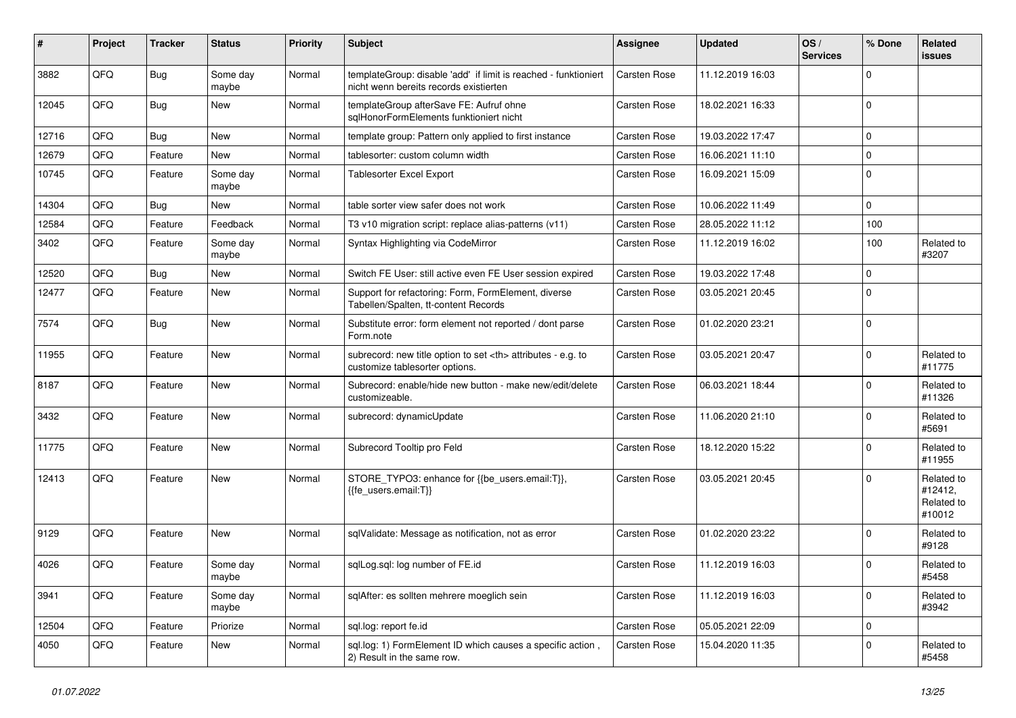| ∦     | Project | <b>Tracker</b> | <b>Status</b>     | <b>Priority</b> | <b>Subject</b>                                                                                            | <b>Assignee</b>                                        | <b>Updated</b>      | OS/<br><b>Services</b> | % Done      | Related<br><b>issues</b>                      |                      |
|-------|---------|----------------|-------------------|-----------------|-----------------------------------------------------------------------------------------------------------|--------------------------------------------------------|---------------------|------------------------|-------------|-----------------------------------------------|----------------------|
| 3882  | QFQ     | Bug            | Some day<br>maybe | Normal          | templateGroup: disable 'add' if limit is reached - funktioniert<br>nicht wenn bereits records existierten | <b>Carsten Rose</b>                                    | 11.12.2019 16:03    |                        | $\Omega$    |                                               |                      |
| 12045 | QFQ     | Bug            | New               | Normal          | templateGroup afterSave FE: Aufruf ohne<br>sqlHonorFormElements funktioniert nicht                        | <b>Carsten Rose</b>                                    | 18.02.2021 16:33    |                        | $\Omega$    |                                               |                      |
| 12716 | QFQ     | Bug            | <b>New</b>        | Normal          | template group: Pattern only applied to first instance                                                    | <b>Carsten Rose</b>                                    | 19.03.2022 17:47    |                        | $\mathbf 0$ |                                               |                      |
| 12679 | QFQ     | Feature        | New               | Normal          | tablesorter: custom column width                                                                          | Carsten Rose                                           | 16.06.2021 11:10    |                        | $\mathbf 0$ |                                               |                      |
| 10745 | QFQ     | Feature        | Some day<br>maybe | Normal          | <b>Tablesorter Excel Export</b>                                                                           | <b>Carsten Rose</b>                                    | 16.09.2021 15:09    |                        | $\Omega$    |                                               |                      |
| 14304 | QFQ     | Bug            | New               | Normal          | table sorter view safer does not work                                                                     | <b>Carsten Rose</b>                                    | 10.06.2022 11:49    |                        | $\mathbf 0$ |                                               |                      |
| 12584 | QFQ     | Feature        | Feedback          | Normal          | T3 v10 migration script: replace alias-patterns (v11)                                                     | <b>Carsten Rose</b>                                    | 28.05.2022 11:12    |                        | 100         |                                               |                      |
| 3402  | QFQ     | Feature        | Some day<br>maybe | Normal          | Syntax Highlighting via CodeMirror                                                                        | <b>Carsten Rose</b>                                    | 11.12.2019 16:02    |                        | 100         | Related to<br>#3207                           |                      |
| 12520 | QFQ     | Bug            | New               | Normal          | Switch FE User: still active even FE User session expired                                                 | <b>Carsten Rose</b>                                    | 19.03.2022 17:48    |                        | $\mathbf 0$ |                                               |                      |
| 12477 | QFQ     | Feature        | New               | Normal          | Support for refactoring: Form, FormElement, diverse<br>Tabellen/Spalten, tt-content Records               | Carsten Rose                                           | 03.05.2021 20:45    |                        | $\mathbf 0$ |                                               |                      |
| 7574  | QFQ     | Bug            | New               | Normal          | Substitute error: form element not reported / dont parse<br>Form.note                                     | <b>Carsten Rose</b>                                    | 01.02.2020 23:21    |                        | $\mathbf 0$ |                                               |                      |
| 11955 | QFQ     | Feature        | New               | Normal          | subrecord: new title option to set <th> attributes - e.g. to<br/>customize tablesorter options.</th>      | attributes - e.g. to<br>customize tablesorter options. | <b>Carsten Rose</b> | 03.05.2021 20:47       |             | $\mathbf 0$                                   | Related to<br>#11775 |
| 8187  | QFQ     | Feature        | <b>New</b>        | Normal          | Subrecord: enable/hide new button - make new/edit/delete<br>customizeable.                                | <b>Carsten Rose</b>                                    | 06.03.2021 18:44    |                        | $\Omega$    | Related to<br>#11326                          |                      |
| 3432  | QFQ     | Feature        | New               | Normal          | subrecord: dynamicUpdate                                                                                  | <b>Carsten Rose</b>                                    | 11.06.2020 21:10    |                        | $\Omega$    | Related to<br>#5691                           |                      |
| 11775 | QFQ     | Feature        | New               | Normal          | Subrecord Tooltip pro Feld                                                                                | <b>Carsten Rose</b>                                    | 18.12.2020 15:22    |                        | $\Omega$    | Related to<br>#11955                          |                      |
| 12413 | QFQ     | Feature        | New               | Normal          | STORE_TYPO3: enhance for {{be_users.email:T}},<br>{{fe users.email:T}}                                    | <b>Carsten Rose</b>                                    | 03.05.2021 20:45    |                        | $\Omega$    | Related to<br>#12412,<br>Related to<br>#10012 |                      |
| 9129  | QFQ     | Feature        | New               | Normal          | sqlValidate: Message as notification, not as error                                                        | <b>Carsten Rose</b>                                    | 01.02.2020 23:22    |                        | $\Omega$    | Related to<br>#9128                           |                      |
| 4026  | QFQ     | Feature        | Some day<br>maybe | Normal          | sqlLog.sql: log number of FE.id                                                                           | <b>Carsten Rose</b>                                    | 11.12.2019 16:03    |                        | $\Omega$    | Related to<br>#5458                           |                      |
| 3941  | QFO     | Feature        | Some day<br>maybe | Normal          | sqlAfter: es sollten mehrere moeglich sein                                                                | <b>Carsten Rose</b>                                    | 11.12.2019 16:03    |                        | $\mathbf 0$ | Related to<br>#3942                           |                      |
| 12504 | QFQ     | Feature        | Priorize          | Normal          | sql.log: report fe.id                                                                                     | Carsten Rose                                           | 05.05.2021 22:09    |                        | $\mathbf 0$ |                                               |                      |
| 4050  | QFQ     | Feature        | New               | Normal          | sql.log: 1) FormElement ID which causes a specific action,<br>2) Result in the same row.                  | Carsten Rose                                           | 15.04.2020 11:35    |                        | $\mathbf 0$ | Related to<br>#5458                           |                      |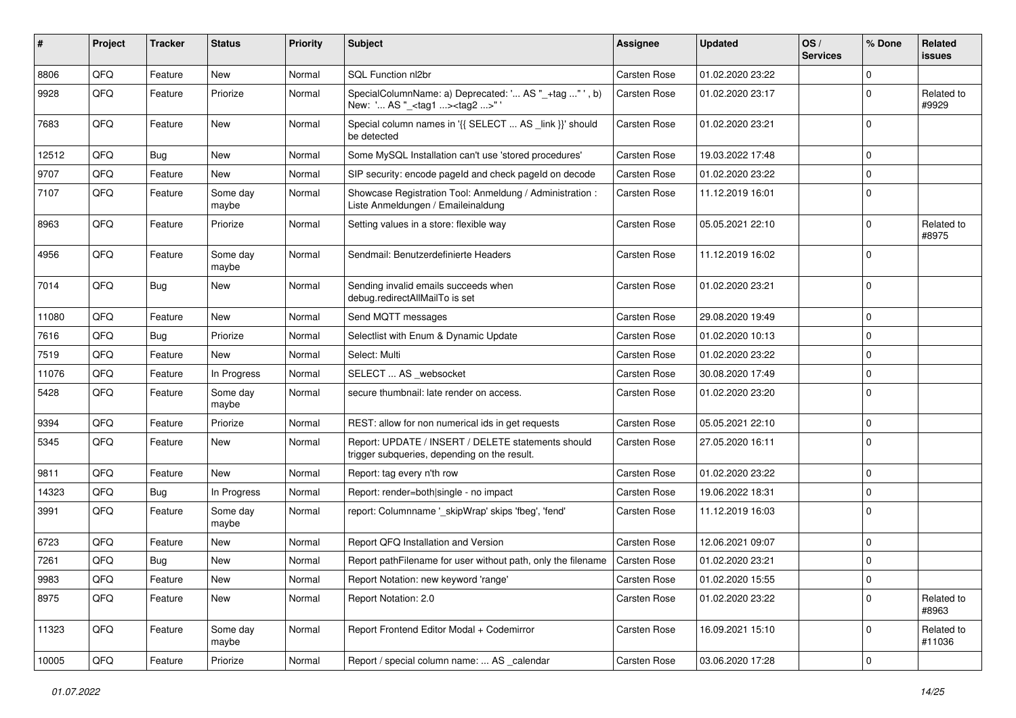| ∦     | Project        | <b>Tracker</b> | <b>Status</b>     | <b>Priority</b> | <b>Subject</b>                                                                                     | <b>Assignee</b>     | <b>Updated</b>   | OS/<br><b>Services</b> | % Done         | Related<br>issues    |
|-------|----------------|----------------|-------------------|-----------------|----------------------------------------------------------------------------------------------------|---------------------|------------------|------------------------|----------------|----------------------|
| 8806  | QFQ            | Feature        | New               | Normal          | SQL Function nl2br                                                                                 | <b>Carsten Rose</b> | 01.02.2020 23:22 |                        | $\Omega$       |                      |
| 9928  | QFQ            | Feature        | Priorize          | Normal          | SpecialColumnName: a) Deprecated: ' AS "_+tag " ', b)<br>New: ' AS "_ <tag1><tag2>"</tag2></tag1>  | <b>Carsten Rose</b> | 01.02.2020 23:17 |                        | 0              | Related to<br>#9929  |
| 7683  | QFQ            | Feature        | New               | Normal          | Special column names in '{{ SELECT  AS _link }}' should<br>be detected                             | Carsten Rose        | 01.02.2020 23:21 |                        | $\Omega$       |                      |
| 12512 | QFQ            | Bug            | <b>New</b>        | Normal          | Some MySQL Installation can't use 'stored procedures'                                              | <b>Carsten Rose</b> | 19.03.2022 17:48 |                        | $\Omega$       |                      |
| 9707  | QFQ            | Feature        | New               | Normal          | SIP security: encode pageld and check pageld on decode                                             | <b>Carsten Rose</b> | 01.02.2020 23:22 |                        | $\mathbf 0$    |                      |
| 7107  | QFQ            | Feature        | Some day<br>maybe | Normal          | Showcase Registration Tool: Anmeldung / Administration :<br>Liste Anmeldungen / Emaileinaldung     | <b>Carsten Rose</b> | 11.12.2019 16:01 |                        | 0              |                      |
| 8963  | QFQ            | Feature        | Priorize          | Normal          | Setting values in a store: flexible way                                                            | <b>Carsten Rose</b> | 05.05.2021 22:10 |                        | 0              | Related to<br>#8975  |
| 4956  | QFQ            | Feature        | Some day<br>maybe | Normal          | Sendmail: Benutzerdefinierte Headers                                                               | <b>Carsten Rose</b> | 11.12.2019 16:02 |                        | $\Omega$       |                      |
| 7014  | QFQ            | Bug            | New               | Normal          | Sending invalid emails succeeds when<br>debug.redirectAllMailTo is set                             | <b>Carsten Rose</b> | 01.02.2020 23:21 |                        | $\mathbf 0$    |                      |
| 11080 | QFQ            | Feature        | New               | Normal          | Send MQTT messages                                                                                 | <b>Carsten Rose</b> | 29.08.2020 19:49 |                        | 0              |                      |
| 7616  | QFQ            | Bug            | Priorize          | Normal          | Selectlist with Enum & Dynamic Update                                                              | <b>Carsten Rose</b> | 01.02.2020 10:13 |                        | 0              |                      |
| 7519  | QFQ            | Feature        | New               | Normal          | Select: Multi                                                                                      | <b>Carsten Rose</b> | 01.02.2020 23:22 |                        | 0              |                      |
| 11076 | QFQ            | Feature        | In Progress       | Normal          | SELECT  AS _websocket                                                                              | <b>Carsten Rose</b> | 30.08.2020 17:49 |                        | $\mathbf 0$    |                      |
| 5428  | QFQ            | Feature        | Some day<br>maybe | Normal          | secure thumbnail: late render on access.                                                           | Carsten Rose        | 01.02.2020 23:20 |                        | 0              |                      |
| 9394  | QFQ            | Feature        | Priorize          | Normal          | REST: allow for non numerical ids in get requests                                                  | <b>Carsten Rose</b> | 05.05.2021 22:10 |                        | $\mathbf 0$    |                      |
| 5345  | QFQ            | Feature        | New               | Normal          | Report: UPDATE / INSERT / DELETE statements should<br>trigger subqueries, depending on the result. | <b>Carsten Rose</b> | 27.05.2020 16:11 |                        | $\Omega$       |                      |
| 9811  | QFQ            | Feature        | New               | Normal          | Report: tag every n'th row                                                                         | Carsten Rose        | 01.02.2020 23:22 |                        | $\Omega$       |                      |
| 14323 | QFQ            | <b>Bug</b>     | In Progress       | Normal          | Report: render=both single - no impact                                                             | Carsten Rose        | 19.06.2022 18:31 |                        | 0              |                      |
| 3991  | QFQ            | Feature        | Some day<br>maybe | Normal          | report: Columnname ' skipWrap' skips 'fbeg', 'fend'                                                | <b>Carsten Rose</b> | 11.12.2019 16:03 |                        | 0              |                      |
| 6723  | QFQ            | Feature        | New               | Normal          | Report QFQ Installation and Version                                                                | <b>Carsten Rose</b> | 12.06.2021 09:07 |                        | 0              |                      |
| 7261  | QFQ            | <b>Bug</b>     | New               | Normal          | Report pathFilename for user without path, only the filename                                       | <b>Carsten Rose</b> | 01.02.2020 23:21 |                        | $\mathbf 0$    |                      |
| 9983  | QFG            | Feature        | New               | Normal          | Report Notation: new keyword 'range'                                                               | <b>Carsten Rose</b> | 01.02.2020 15:55 |                        | $\overline{0}$ |                      |
| 8975  | QFQ            | Feature        | New               | Normal          | Report Notation: 2.0                                                                               | Carsten Rose        | 01.02.2020 23:22 |                        | 0              | Related to<br>#8963  |
| 11323 | QFG            | Feature        | Some day<br>maybe | Normal          | Report Frontend Editor Modal + Codemirror                                                          | Carsten Rose        | 16.09.2021 15:10 |                        | $\mathbf 0$    | Related to<br>#11036 |
| 10005 | $\mathsf{QFQ}$ | Feature        | Priorize          | Normal          | Report / special column name:  AS _calendar                                                        | Carsten Rose        | 03.06.2020 17:28 |                        | 0              |                      |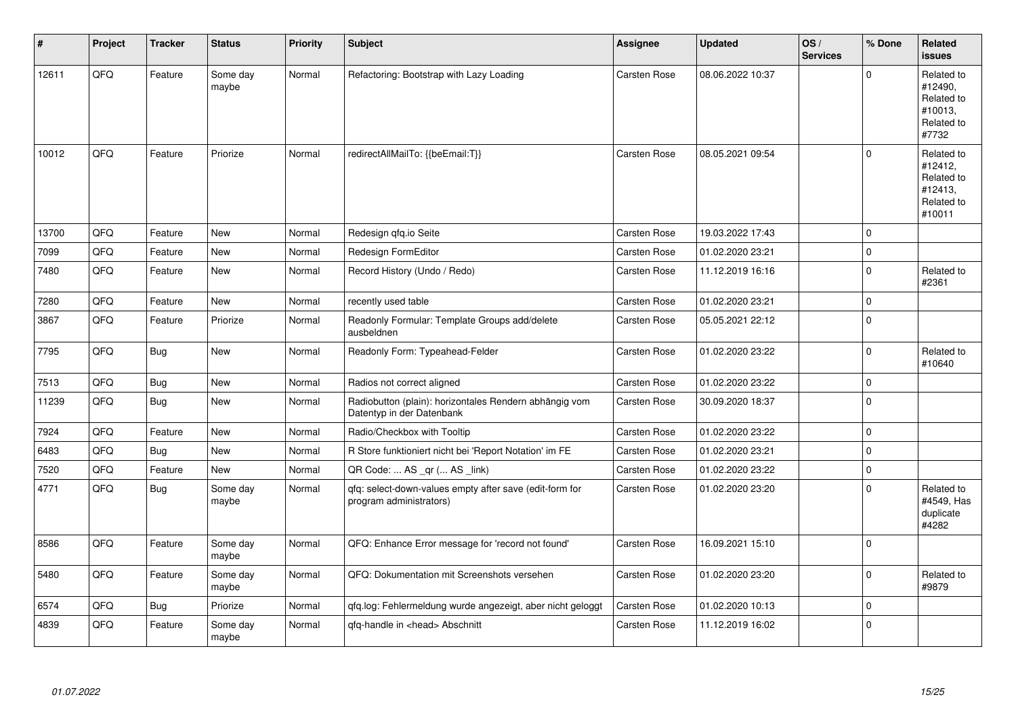| #     | Project | <b>Tracker</b> | <b>Status</b>     | <b>Priority</b> | <b>Subject</b>                                                                      | <b>Assignee</b>     | <b>Updated</b>   | OS/<br><b>Services</b> | % Done      | Related<br><b>issues</b>                                               |
|-------|---------|----------------|-------------------|-----------------|-------------------------------------------------------------------------------------|---------------------|------------------|------------------------|-------------|------------------------------------------------------------------------|
| 12611 | QFQ     | Feature        | Some day<br>maybe | Normal          | Refactoring: Bootstrap with Lazy Loading                                            | Carsten Rose        | 08.06.2022 10:37 |                        | $\Omega$    | Related to<br>#12490,<br>Related to<br>#10013,<br>Related to<br>#7732  |
| 10012 | QFQ     | Feature        | Priorize          | Normal          | redirectAllMailTo: {{beEmail:T}}                                                    | <b>Carsten Rose</b> | 08.05.2021 09:54 |                        | $\Omega$    | Related to<br>#12412,<br>Related to<br>#12413,<br>Related to<br>#10011 |
| 13700 | QFQ     | Feature        | <b>New</b>        | Normal          | Redesign gfg.io Seite                                                               | <b>Carsten Rose</b> | 19.03.2022 17:43 |                        | 0           |                                                                        |
| 7099  | QFQ     | Feature        | <b>New</b>        | Normal          | Redesign FormEditor                                                                 | Carsten Rose        | 01.02.2020 23:21 |                        | $\mathbf 0$ |                                                                        |
| 7480  | QFQ     | Feature        | <b>New</b>        | Normal          | Record History (Undo / Redo)                                                        | <b>Carsten Rose</b> | 11.12.2019 16:16 |                        | $\mathbf 0$ | Related to<br>#2361                                                    |
| 7280  | QFQ     | Feature        | <b>New</b>        | Normal          | recently used table                                                                 | <b>Carsten Rose</b> | 01.02.2020 23:21 |                        | $\mathbf 0$ |                                                                        |
| 3867  | QFQ     | Feature        | Priorize          | Normal          | Readonly Formular: Template Groups add/delete<br>ausbeldnen                         | <b>Carsten Rose</b> | 05.05.2021 22:12 |                        | $\mathbf 0$ |                                                                        |
| 7795  | QFQ     | Bug            | <b>New</b>        | Normal          | Readonly Form: Typeahead-Felder                                                     | <b>Carsten Rose</b> | 01.02.2020 23:22 |                        | $\Omega$    | Related to<br>#10640                                                   |
| 7513  | QFQ     | <b>Bug</b>     | <b>New</b>        | Normal          | Radios not correct aligned                                                          | <b>Carsten Rose</b> | 01.02.2020 23:22 |                        | $\mathbf 0$ |                                                                        |
| 11239 | QFQ     | <b>Bug</b>     | <b>New</b>        | Normal          | Radiobutton (plain): horizontales Rendern abhängig vom<br>Datentyp in der Datenbank | <b>Carsten Rose</b> | 30.09.2020 18:37 |                        | $\Omega$    |                                                                        |
| 7924  | QFQ     | Feature        | <b>New</b>        | Normal          | Radio/Checkbox with Tooltip                                                         | <b>Carsten Rose</b> | 01.02.2020 23:22 |                        | $\mathbf 0$ |                                                                        |
| 6483  | QFQ     | Bug            | <b>New</b>        | Normal          | R Store funktioniert nicht bei 'Report Notation' im FE                              | <b>Carsten Rose</b> | 01.02.2020 23:21 |                        | $\Omega$    |                                                                        |
| 7520  | QFQ     | Feature        | <b>New</b>        | Normal          | QR Code:  AS _qr ( AS _link)                                                        | <b>Carsten Rose</b> | 01.02.2020 23:22 |                        | $\mathbf 0$ |                                                                        |
| 4771  | QFQ     | Bug            | Some day<br>maybe | Normal          | gfg: select-down-values empty after save (edit-form for<br>program administrators)  | <b>Carsten Rose</b> | 01.02.2020 23:20 |                        | $\Omega$    | Related to<br>#4549, Has<br>duplicate<br>#4282                         |
| 8586  | QFQ     | Feature        | Some day<br>maybe | Normal          | QFQ: Enhance Error message for 'record not found'                                   | <b>Carsten Rose</b> | 16.09.2021 15:10 |                        | $\Omega$    |                                                                        |
| 5480  | QFQ     | Feature        | Some day<br>maybe | Normal          | QFQ: Dokumentation mit Screenshots versehen                                         | Carsten Rose        | 01.02.2020 23:20 |                        | $\Omega$    | Related to<br>#9879                                                    |
| 6574  | QFQ     | <b>Bug</b>     | Priorize          | Normal          | qfq.log: Fehlermeldung wurde angezeigt, aber nicht geloggt                          | Carsten Rose        | 01.02.2020 10:13 |                        | $\Omega$    |                                                                        |
| 4839  | QFQ     | Feature        | Some day<br>maybe | Normal          | qfq-handle in <head> Abschnitt</head>                                               | <b>Carsten Rose</b> | 11.12.2019 16:02 |                        | $\Omega$    |                                                                        |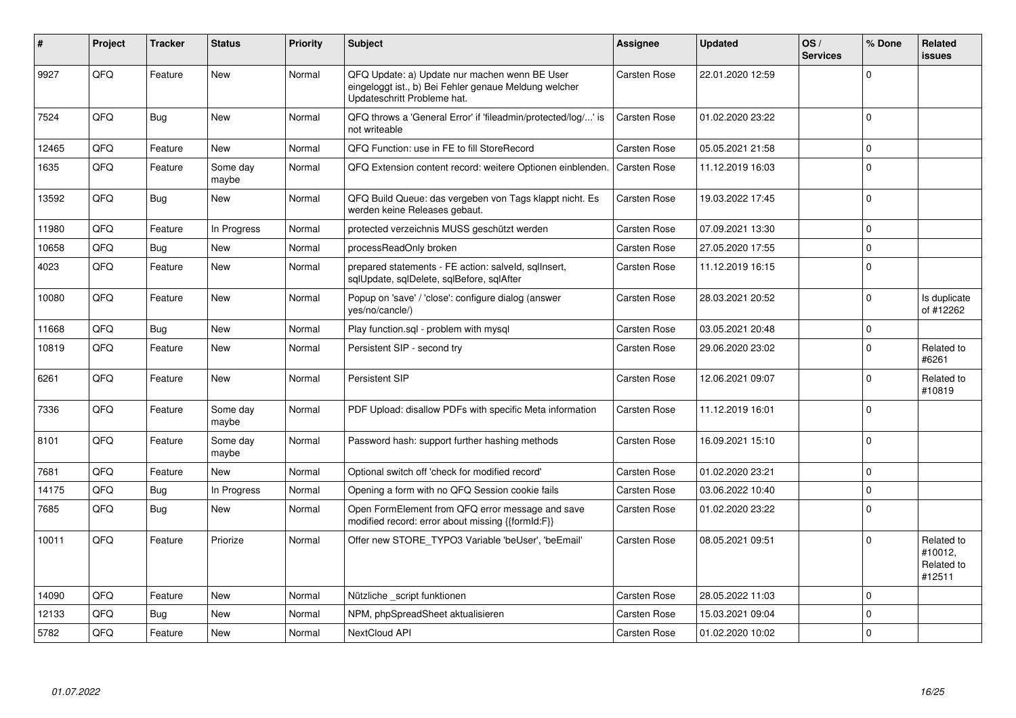| #     | Project | <b>Tracker</b> | <b>Status</b>     | <b>Priority</b> | <b>Subject</b>                                                                                                                        | Assignee            | <b>Updated</b>   | OS/<br><b>Services</b> | % Done         | Related<br><b>issues</b>                      |
|-------|---------|----------------|-------------------|-----------------|---------------------------------------------------------------------------------------------------------------------------------------|---------------------|------------------|------------------------|----------------|-----------------------------------------------|
| 9927  | QFQ     | Feature        | <b>New</b>        | Normal          | QFQ Update: a) Update nur machen wenn BE User<br>eingeloggt ist., b) Bei Fehler genaue Meldung welcher<br>Updateschritt Probleme hat. | Carsten Rose        | 22.01.2020 12:59 |                        | 0              |                                               |
| 7524  | QFQ     | Bug            | <b>New</b>        | Normal          | QFQ throws a 'General Error' if 'fileadmin/protected/log/' is<br>not writeable                                                        | <b>Carsten Rose</b> | 01.02.2020 23:22 |                        | $\mathbf 0$    |                                               |
| 12465 | QFQ     | Feature        | <b>New</b>        | Normal          | QFQ Function: use in FE to fill StoreRecord                                                                                           | Carsten Rose        | 05.05.2021 21:58 |                        | $\mathbf 0$    |                                               |
| 1635  | QFQ     | Feature        | Some day<br>maybe | Normal          | QFQ Extension content record: weitere Optionen einblenden.                                                                            | Carsten Rose        | 11.12.2019 16:03 |                        | $\Omega$       |                                               |
| 13592 | QFQ     | Bug            | New               | Normal          | QFQ Build Queue: das vergeben von Tags klappt nicht. Es<br>werden keine Releases gebaut.                                              | Carsten Rose        | 19.03.2022 17:45 |                        | $\mathbf 0$    |                                               |
| 11980 | QFQ     | Feature        | In Progress       | Normal          | protected verzeichnis MUSS geschützt werden                                                                                           | Carsten Rose        | 07.09.2021 13:30 |                        | $\mathbf 0$    |                                               |
| 10658 | QFQ     | <b>Bug</b>     | <b>New</b>        | Normal          | processReadOnly broken                                                                                                                | Carsten Rose        | 27.05.2020 17:55 |                        | $\overline{0}$ |                                               |
| 4023  | QFQ     | Feature        | New               | Normal          | prepared statements - FE action: salveld, sqllnsert,<br>sqlUpdate, sqlDelete, sqlBefore, sqlAfter                                     | Carsten Rose        | 11.12.2019 16:15 |                        | $\Omega$       |                                               |
| 10080 | QFQ     | Feature        | <b>New</b>        | Normal          | Popup on 'save' / 'close': configure dialog (answer<br>yes/no/cancle/)                                                                | Carsten Rose        | 28.03.2021 20:52 |                        | $\Omega$       | Is duplicate<br>of #12262                     |
| 11668 | QFQ     | Bug            | <b>New</b>        | Normal          | Play function.sgl - problem with mysgl                                                                                                | Carsten Rose        | 03.05.2021 20:48 |                        | $\mathbf 0$    |                                               |
| 10819 | QFQ     | Feature        | <b>New</b>        | Normal          | Persistent SIP - second try                                                                                                           | Carsten Rose        | 29.06.2020 23:02 |                        | 0              | Related to<br>#6261                           |
| 6261  | QFQ     | Feature        | New               | Normal          | Persistent SIP                                                                                                                        | <b>Carsten Rose</b> | 12.06.2021 09:07 |                        | $\mathbf 0$    | Related to<br>#10819                          |
| 7336  | QFQ     | Feature        | Some day<br>maybe | Normal          | PDF Upload: disallow PDFs with specific Meta information                                                                              | Carsten Rose        | 11.12.2019 16:01 |                        | $\Omega$       |                                               |
| 8101  | QFQ     | Feature        | Some day<br>maybe | Normal          | Password hash: support further hashing methods                                                                                        | Carsten Rose        | 16.09.2021 15:10 |                        | 0              |                                               |
| 7681  | QFQ     | Feature        | New               | Normal          | Optional switch off 'check for modified record'                                                                                       | <b>Carsten Rose</b> | 01.02.2020 23:21 |                        | $\mathbf 0$    |                                               |
| 14175 | QFQ     | Bug            | In Progress       | Normal          | Opening a form with no QFQ Session cookie fails                                                                                       | Carsten Rose        | 03.06.2022 10:40 |                        | $\Omega$       |                                               |
| 7685  | QFQ     | Bug            | <b>New</b>        | Normal          | Open FormElement from QFQ error message and save<br>modified record: error about missing {{formId:F}}                                 | Carsten Rose        | 01.02.2020 23:22 |                        | $\Omega$       |                                               |
| 10011 | QFQ     | Feature        | Priorize          | Normal          | Offer new STORE TYPO3 Variable 'beUser', 'beEmail'                                                                                    | Carsten Rose        | 08.05.2021 09:51 |                        | $\Omega$       | Related to<br>#10012,<br>Related to<br>#12511 |
| 14090 | QFQ     | Feature        | New               | Normal          | Nützliche _script funktionen                                                                                                          | Carsten Rose        | 28.05.2022 11:03 |                        | $\Omega$       |                                               |
| 12133 | QFQ     | <b>Bug</b>     | <b>New</b>        | Normal          | NPM, phpSpreadSheet aktualisieren                                                                                                     | Carsten Rose        | 15.03.2021 09:04 |                        | $\mathbf 0$    |                                               |
| 5782  | QFQ     | Feature        | <b>New</b>        | Normal          | NextCloud API                                                                                                                         | Carsten Rose        | 01.02.2020 10:02 |                        | $\Omega$       |                                               |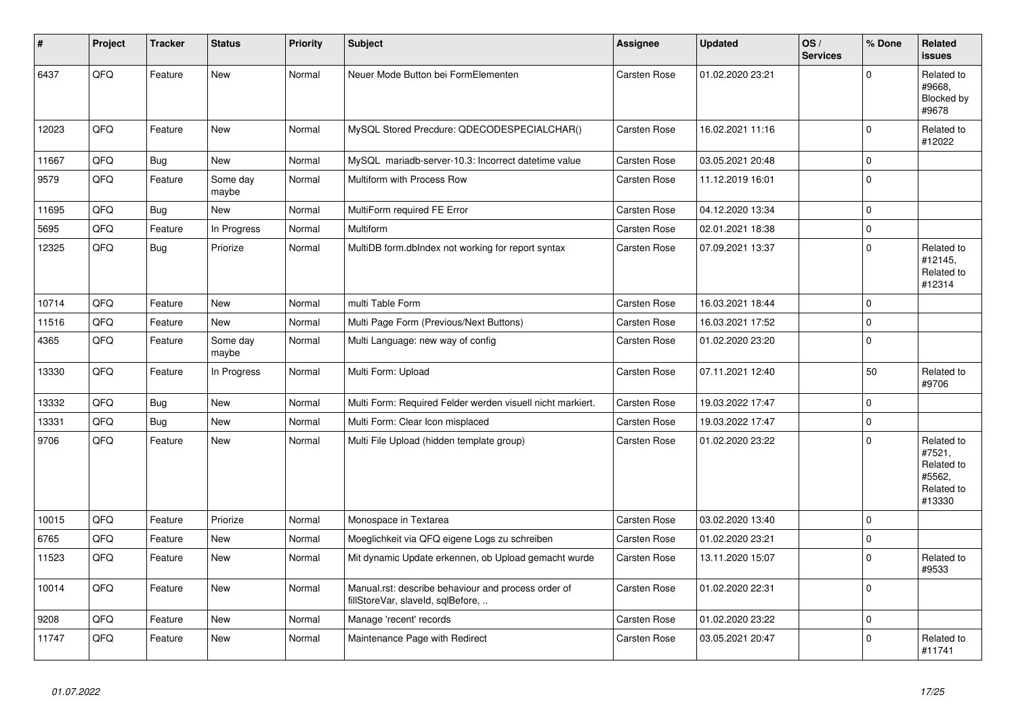| $\vert$ # | Project | <b>Tracker</b> | <b>Status</b>     | <b>Priority</b> | <b>Subject</b>                                                                           | Assignee            | <b>Updated</b>   | OS/<br><b>Services</b> | % Done      | Related<br><b>issues</b>                                             |
|-----------|---------|----------------|-------------------|-----------------|------------------------------------------------------------------------------------------|---------------------|------------------|------------------------|-------------|----------------------------------------------------------------------|
| 6437      | QFQ     | Feature        | <b>New</b>        | Normal          | Neuer Mode Button bei FormElementen                                                      | <b>Carsten Rose</b> | 01.02.2020 23:21 |                        | $\Omega$    | Related to<br>#9668,<br>Blocked by<br>#9678                          |
| 12023     | QFQ     | Feature        | New               | Normal          | MySQL Stored Precdure: QDECODESPECIALCHAR()                                              | Carsten Rose        | 16.02.2021 11:16 |                        | $\Omega$    | Related to<br>#12022                                                 |
| 11667     | QFQ     | <b>Bug</b>     | New               | Normal          | MySQL mariadb-server-10.3: Incorrect datetime value                                      | Carsten Rose        | 03.05.2021 20:48 |                        | $\mathbf 0$ |                                                                      |
| 9579      | QFO     | Feature        | Some day<br>maybe | Normal          | Multiform with Process Row                                                               | Carsten Rose        | 11.12.2019 16:01 |                        | $\Omega$    |                                                                      |
| 11695     | QFQ     | <b>Bug</b>     | New               | Normal          | MultiForm required FE Error                                                              | <b>Carsten Rose</b> | 04.12.2020 13:34 |                        | $\mathbf 0$ |                                                                      |
| 5695      | QFQ     | Feature        | In Progress       | Normal          | Multiform                                                                                | Carsten Rose        | 02.01.2021 18:38 |                        | $\mathbf 0$ |                                                                      |
| 12325     | QFQ     | <b>Bug</b>     | Priorize          | Normal          | MultiDB form.dblndex not working for report syntax                                       | Carsten Rose        | 07.09.2021 13:37 |                        | $\Omega$    | Related to<br>#12145,<br>Related to<br>#12314                        |
| 10714     | QFQ     | Feature        | New               | Normal          | multi Table Form                                                                         | Carsten Rose        | 16.03.2021 18:44 |                        | $\Omega$    |                                                                      |
| 11516     | QFQ     | Feature        | <b>New</b>        | Normal          | Multi Page Form (Previous/Next Buttons)                                                  | <b>Carsten Rose</b> | 16.03.2021 17:52 |                        | $\Omega$    |                                                                      |
| 4365      | QFQ     | Feature        | Some day<br>maybe | Normal          | Multi Language: new way of config                                                        | <b>Carsten Rose</b> | 01.02.2020 23:20 |                        | $\Omega$    |                                                                      |
| 13330     | QFQ     | Feature        | In Progress       | Normal          | Multi Form: Upload                                                                       | Carsten Rose        | 07.11.2021 12:40 |                        | 50          | Related to<br>#9706                                                  |
| 13332     | QFQ     | <b>Bug</b>     | New               | Normal          | Multi Form: Required Felder werden visuell nicht markiert.                               | Carsten Rose        | 19.03.2022 17:47 |                        | $\Omega$    |                                                                      |
| 13331     | QFQ     | Bug            | <b>New</b>        | Normal          | Multi Form: Clear Icon misplaced                                                         | <b>Carsten Rose</b> | 19.03.2022 17:47 |                        | $\mathbf 0$ |                                                                      |
| 9706      | QFQ     | Feature        | New               | Normal          | Multi File Upload (hidden template group)                                                | <b>Carsten Rose</b> | 01.02.2020 23:22 |                        | $\Omega$    | Related to<br>#7521,<br>Related to<br>#5562,<br>Related to<br>#13330 |
| 10015     | QFQ     | Feature        | Priorize          | Normal          | Monospace in Textarea                                                                    | <b>Carsten Rose</b> | 03.02.2020 13:40 |                        | $\Omega$    |                                                                      |
| 6765      | QFQ     | Feature        | <b>New</b>        | Normal          | Moeglichkeit via QFQ eigene Logs zu schreiben                                            | <b>Carsten Rose</b> | 01.02.2020 23:21 |                        | $\mathbf 0$ |                                                                      |
| 11523     | QFQ     | Feature        | New               | Normal          | Mit dynamic Update erkennen, ob Upload gemacht wurde                                     | <b>Carsten Rose</b> | 13.11.2020 15:07 |                        | $\Omega$    | Related to<br>#9533                                                  |
| 10014     | QFQ     | Feature        | <b>New</b>        | Normal          | Manual.rst: describe behaviour and process order of<br>fillStoreVar, slaveId, sqlBefore, | Carsten Rose        | 01.02.2020 22:31 |                        | $\Omega$    |                                                                      |
| 9208      | QFQ     | Feature        | New               | Normal          | Manage 'recent' records                                                                  | Carsten Rose        | 01.02.2020 23:22 |                        | $\mathbf 0$ |                                                                      |
| 11747     | QFQ     | Feature        | New               | Normal          | Maintenance Page with Redirect                                                           | Carsten Rose        | 03.05.2021 20:47 |                        | $\Omega$    | Related to<br>#11741                                                 |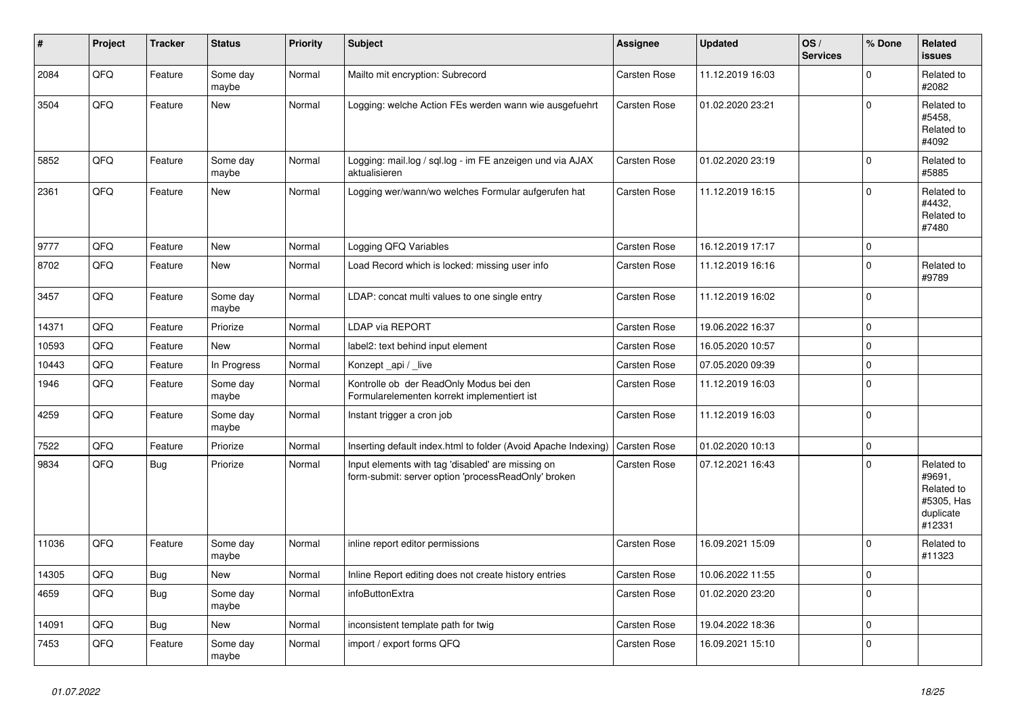| #     | Project | <b>Tracker</b> | <b>Status</b>     | <b>Priority</b> | <b>Subject</b>                                                                                           | Assignee            | <b>Updated</b>   | OS/<br><b>Services</b> | % Done              | Related<br><b>issues</b>                                                |
|-------|---------|----------------|-------------------|-----------------|----------------------------------------------------------------------------------------------------------|---------------------|------------------|------------------------|---------------------|-------------------------------------------------------------------------|
| 2084  | QFQ     | Feature        | Some day<br>maybe | Normal          | Mailto mit encryption: Subrecord                                                                         | <b>Carsten Rose</b> | 11.12.2019 16:03 |                        | $\mathbf 0$         | Related to<br>#2082                                                     |
| 3504  | QFQ     | Feature        | New               | Normal          | Logging: welche Action FEs werden wann wie ausgefuehrt                                                   | <b>Carsten Rose</b> | 01.02.2020 23:21 |                        | $\mathbf 0$         | Related to<br>#5458,<br>Related to<br>#4092                             |
| 5852  | QFQ     | Feature        | Some day<br>maybe | Normal          | Logging: mail.log / sql.log - im FE anzeigen und via AJAX<br>aktualisieren                               | <b>Carsten Rose</b> | 01.02.2020 23:19 |                        | $\Omega$            | Related to<br>#5885                                                     |
| 2361  | QFQ     | Feature        | New               | Normal          | Logging wer/wann/wo welches Formular aufgerufen hat                                                      | <b>Carsten Rose</b> | 11.12.2019 16:15 |                        | $\mathbf 0$         | Related to<br>#4432,<br>Related to<br>#7480                             |
| 9777  | QFQ     | Feature        | <b>New</b>        | Normal          | Logging QFQ Variables                                                                                    | <b>Carsten Rose</b> | 16.12.2019 17:17 |                        | $\pmb{0}$           |                                                                         |
| 8702  | QFQ     | Feature        | New               | Normal          | Load Record which is locked: missing user info                                                           | Carsten Rose        | 11.12.2019 16:16 |                        | $\pmb{0}$           | Related to<br>#9789                                                     |
| 3457  | QFQ     | Feature        | Some day<br>maybe | Normal          | LDAP: concat multi values to one single entry                                                            | Carsten Rose        | 11.12.2019 16:02 |                        | $\Omega$            |                                                                         |
| 14371 | QFQ     | Feature        | Priorize          | Normal          | LDAP via REPORT                                                                                          | <b>Carsten Rose</b> | 19.06.2022 16:37 |                        | $\mathbf 0$         |                                                                         |
| 10593 | QFQ     | Feature        | <b>New</b>        | Normal          | label2: text behind input element                                                                        | Carsten Rose        | 16.05.2020 10:57 |                        | $\mathbf 0$         |                                                                         |
| 10443 | QFQ     | Feature        | In Progress       | Normal          | Konzept api / live                                                                                       | Carsten Rose        | 07.05.2020 09:39 |                        | $\mathsf{O}\xspace$ |                                                                         |
| 1946  | QFQ     | Feature        | Some day<br>maybe | Normal          | Kontrolle ob der ReadOnly Modus bei den<br>Formularelementen korrekt implementiert ist                   | <b>Carsten Rose</b> | 11.12.2019 16:03 |                        | $\mathbf 0$         |                                                                         |
| 4259  | QFQ     | Feature        | Some day<br>maybe | Normal          | Instant trigger a cron job                                                                               | Carsten Rose        | 11.12.2019 16:03 |                        | $\mathbf 0$         |                                                                         |
| 7522  | QFQ     | Feature        | Priorize          | Normal          | Inserting default index.html to folder (Avoid Apache Indexing)                                           | Carsten Rose        | 01.02.2020 10:13 |                        | $\mathbf 0$         |                                                                         |
| 9834  | QFQ     | Bug            | Priorize          | Normal          | Input elements with tag 'disabled' are missing on<br>form-submit: server option 'processReadOnly' broken | <b>Carsten Rose</b> | 07.12.2021 16:43 |                        | $\mathbf 0$         | Related to<br>#9691,<br>Related to<br>#5305, Has<br>duplicate<br>#12331 |
| 11036 | QFQ     | Feature        | Some day<br>maybe | Normal          | inline report editor permissions                                                                         | <b>Carsten Rose</b> | 16.09.2021 15:09 |                        | $\mathbf 0$         | Related to<br>#11323                                                    |
| 14305 | QFQ     | <b>Bug</b>     | <b>New</b>        | Normal          | Inline Report editing does not create history entries                                                    | <b>Carsten Rose</b> | 10.06.2022 11:55 |                        | $\pmb{0}$           |                                                                         |
| 4659  | QFQ     | <b>Bug</b>     | Some day<br>maybe | Normal          | infoButtonExtra                                                                                          | Carsten Rose        | 01.02.2020 23:20 |                        | $\mathbf 0$         |                                                                         |
| 14091 | QFQ     | <b>Bug</b>     | New               | Normal          | inconsistent template path for twig                                                                      | <b>Carsten Rose</b> | 19.04.2022 18:36 |                        | $\pmb{0}$           |                                                                         |
| 7453  | QFQ     | Feature        | Some day<br>maybe | Normal          | import / export forms QFQ                                                                                | Carsten Rose        | 16.09.2021 15:10 |                        | $\mathbf 0$         |                                                                         |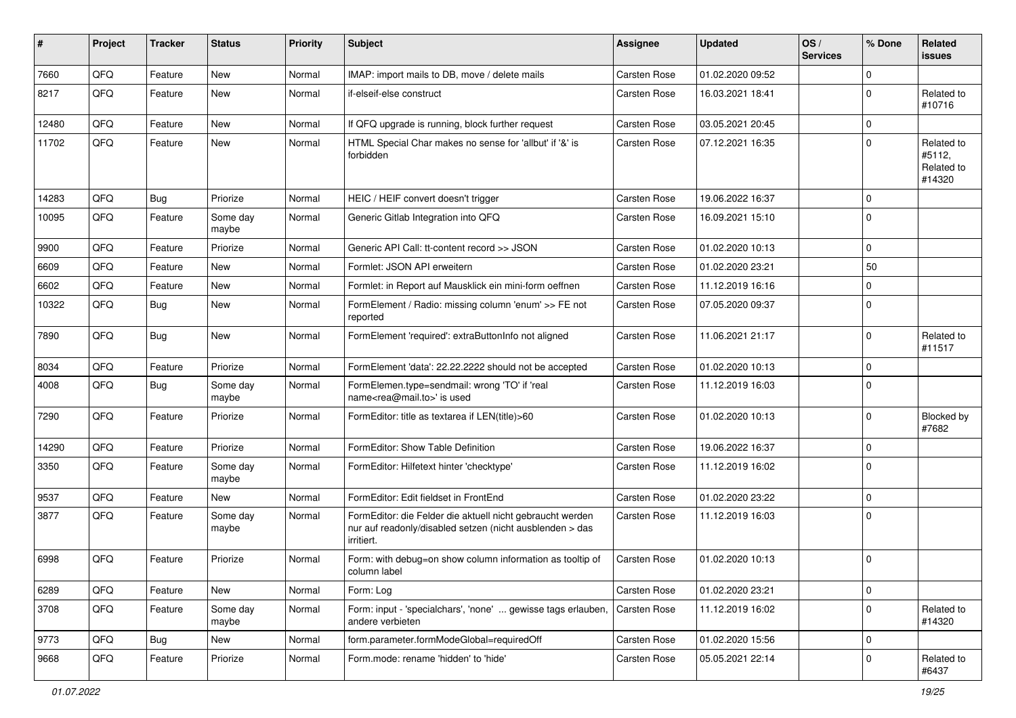| #     | Project | <b>Tracker</b> | <b>Status</b>     | <b>Priority</b> | Subject                                                                                                                             | <b>Assignee</b>     | <b>Updated</b>   | OS/<br><b>Services</b> | % Done       | Related<br><b>issues</b>                     |
|-------|---------|----------------|-------------------|-----------------|-------------------------------------------------------------------------------------------------------------------------------------|---------------------|------------------|------------------------|--------------|----------------------------------------------|
| 7660  | QFQ     | Feature        | <b>New</b>        | Normal          | IMAP: import mails to DB, move / delete mails                                                                                       | Carsten Rose        | 01.02.2020 09:52 |                        | $\Omega$     |                                              |
| 8217  | QFQ     | Feature        | New               | Normal          | if-elseif-else construct                                                                                                            | <b>Carsten Rose</b> | 16.03.2021 18:41 |                        | $\Omega$     | Related to<br>#10716                         |
| 12480 | QFQ     | Feature        | <b>New</b>        | Normal          | If QFQ upgrade is running, block further request                                                                                    | <b>Carsten Rose</b> | 03.05.2021 20:45 |                        | $\mathbf 0$  |                                              |
| 11702 | QFQ     | Feature        | New               | Normal          | HTML Special Char makes no sense for 'allbut' if '&' is<br>forbidden                                                                | <b>Carsten Rose</b> | 07.12.2021 16:35 |                        | $\Omega$     | Related to<br>#5112,<br>Related to<br>#14320 |
| 14283 | QFQ     | Bug            | Priorize          | Normal          | HEIC / HEIF convert doesn't trigger                                                                                                 | <b>Carsten Rose</b> | 19.06.2022 16:37 |                        | $\mathbf{0}$ |                                              |
| 10095 | QFQ     | Feature        | Some day<br>maybe | Normal          | Generic Gitlab Integration into QFQ                                                                                                 | Carsten Rose        | 16.09.2021 15:10 |                        | $\mathbf 0$  |                                              |
| 9900  | QFQ     | Feature        | Priorize          | Normal          | Generic API Call: tt-content record >> JSON                                                                                         | <b>Carsten Rose</b> | 01.02.2020 10:13 |                        | $\mathbf 0$  |                                              |
| 6609  | QFQ     | Feature        | New               | Normal          | Formlet: JSON API erweitern                                                                                                         | <b>Carsten Rose</b> | 01.02.2020 23:21 |                        | 50           |                                              |
| 6602  | QFQ     | Feature        | New               | Normal          | Formlet: in Report auf Mausklick ein mini-form oeffnen                                                                              | Carsten Rose        | 11.12.2019 16:16 |                        | $\mathbf 0$  |                                              |
| 10322 | QFQ     | Bug            | New               | Normal          | FormElement / Radio: missing column 'enum' >> FE not<br>reported                                                                    | <b>Carsten Rose</b> | 07.05.2020 09:37 |                        | $\mathbf{0}$ |                                              |
| 7890  | QFQ     | Bug            | <b>New</b>        | Normal          | FormElement 'required': extraButtonInfo not aligned                                                                                 | <b>Carsten Rose</b> | 11.06.2021 21:17 |                        | $\mathbf 0$  | Related to<br>#11517                         |
| 8034  | QFQ     | Feature        | Priorize          | Normal          | FormElement 'data': 22.22.2222 should not be accepted                                                                               | <b>Carsten Rose</b> | 01.02.2020 10:13 |                        | $\Omega$     |                                              |
| 4008  | QFQ     | <b>Bug</b>     | Some day<br>maybe | Normal          | FormElemen.type=sendmail: wrong 'TO' if 'real<br>name <rea@mail.to>' is used</rea@mail.to>                                          | <b>Carsten Rose</b> | 11.12.2019 16:03 |                        | $\Omega$     |                                              |
| 7290  | QFQ     | Feature        | Priorize          | Normal          | FormEditor: title as textarea if LEN(title)>60                                                                                      | <b>Carsten Rose</b> | 01.02.2020 10:13 |                        | $\mathbf{0}$ | Blocked by<br>#7682                          |
| 14290 | QFQ     | Feature        | Priorize          | Normal          | FormEditor: Show Table Definition                                                                                                   | <b>Carsten Rose</b> | 19.06.2022 16:37 |                        | $\mathbf 0$  |                                              |
| 3350  | QFQ     | Feature        | Some day<br>maybe | Normal          | FormEditor: Hilfetext hinter 'checktype'                                                                                            | Carsten Rose        | 11.12.2019 16:02 |                        | $\mathbf 0$  |                                              |
| 9537  | QFQ     | Feature        | New               | Normal          | FormEditor: Edit fieldset in FrontEnd                                                                                               | <b>Carsten Rose</b> | 01.02.2020 23:22 |                        | $\mathbf 0$  |                                              |
| 3877  | QFQ     | Feature        | Some day<br>maybe | Normal          | FormEditor: die Felder die aktuell nicht gebraucht werden<br>nur auf readonly/disabled setzen (nicht ausblenden > das<br>irritiert. | <b>Carsten Rose</b> | 11.12.2019 16:03 |                        | $\Omega$     |                                              |
| 6998  | QFQ     | Feature        | Priorize          | Normal          | Form: with debug=on show column information as tooltip of<br>column label                                                           | <b>Carsten Rose</b> | 01.02.2020 10:13 |                        | $\mathbf{0}$ |                                              |
| 6289  | QFQ     | Feature        | New               | Normal          | Form: Log                                                                                                                           | Carsten Rose        | 01.02.2020 23:21 |                        | $\mathbf 0$  |                                              |
| 3708  | QFQ     | Feature        | Some day<br>maybe | Normal          | Form: input - 'specialchars', 'none'  gewisse tags erlauben,<br>andere verbieten                                                    | Carsten Rose        | 11.12.2019 16:02 |                        | $\Omega$     | Related to<br>#14320                         |
| 9773  | QFQ     | <b>Bug</b>     | New               | Normal          | form.parameter.formModeGlobal=requiredOff                                                                                           | Carsten Rose        | 01.02.2020 15:56 |                        | 0            |                                              |
| 9668  | QFQ     | Feature        | Priorize          | Normal          | Form.mode: rename 'hidden' to 'hide'                                                                                                | Carsten Rose        | 05.05.2021 22:14 |                        | $\mathbf 0$  | Related to<br>#6437                          |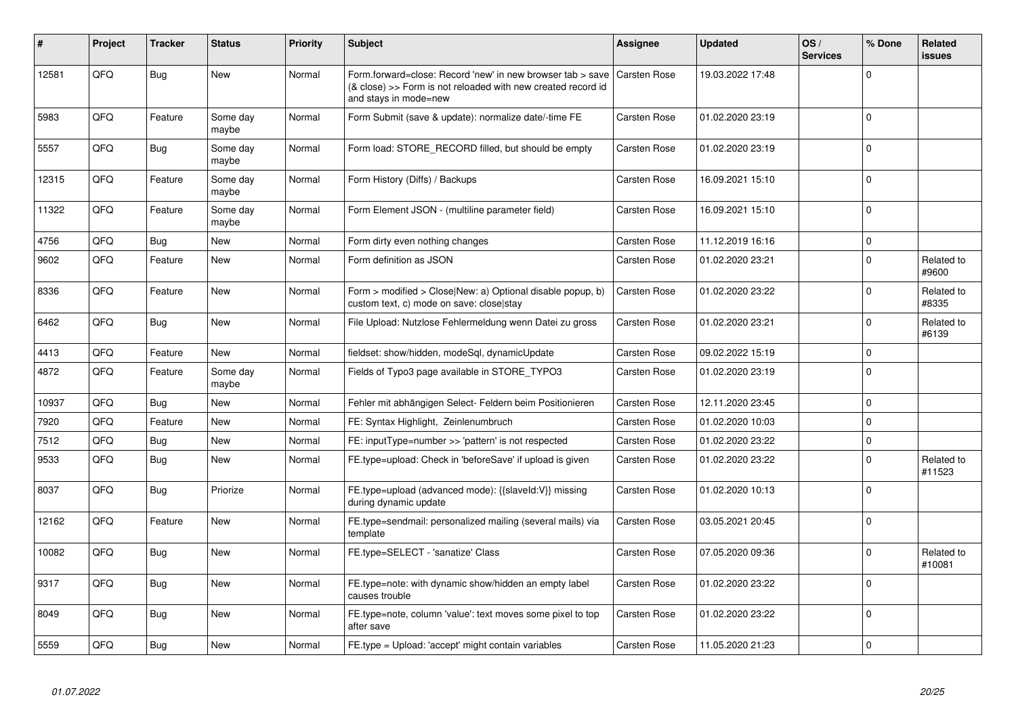| ∦     | Project | <b>Tracker</b> | <b>Status</b>     | <b>Priority</b> | <b>Subject</b>                                                                                                                                      | Assignee            | <b>Updated</b>   | OS/<br><b>Services</b> | % Done      | Related<br>issues    |
|-------|---------|----------------|-------------------|-----------------|-----------------------------------------------------------------------------------------------------------------------------------------------------|---------------------|------------------|------------------------|-------------|----------------------|
| 12581 | QFQ     | Bug            | <b>New</b>        | Normal          | Form.forward=close: Record 'new' in new browser tab > save<br>(& close) >> Form is not reloaded with new created record id<br>and stays in mode=new | <b>Carsten Rose</b> | 19.03.2022 17:48 |                        | $\Omega$    |                      |
| 5983  | QFQ     | Feature        | Some day<br>maybe | Normal          | Form Submit (save & update): normalize date/-time FE                                                                                                | <b>Carsten Rose</b> | 01.02.2020 23:19 |                        | $\Omega$    |                      |
| 5557  | QFQ     | <b>Bug</b>     | Some day<br>maybe | Normal          | Form load: STORE RECORD filled, but should be empty                                                                                                 | <b>Carsten Rose</b> | 01.02.2020 23:19 |                        | $\Omega$    |                      |
| 12315 | QFQ     | Feature        | Some day<br>maybe | Normal          | Form History (Diffs) / Backups                                                                                                                      | Carsten Rose        | 16.09.2021 15:10 |                        | $\Omega$    |                      |
| 11322 | QFQ     | Feature        | Some day<br>maybe | Normal          | Form Element JSON - (multiline parameter field)                                                                                                     | <b>Carsten Rose</b> | 16.09.2021 15:10 |                        | $\Omega$    |                      |
| 4756  | QFQ     | Bug            | New               | Normal          | Form dirty even nothing changes                                                                                                                     | <b>Carsten Rose</b> | 11.12.2019 16:16 |                        | $\mathbf 0$ |                      |
| 9602  | QFQ     | Feature        | New               | Normal          | Form definition as JSON                                                                                                                             | <b>Carsten Rose</b> | 01.02.2020 23:21 |                        | $\Omega$    | Related to<br>#9600  |
| 8336  | QFQ     | Feature        | New               | Normal          | Form > modified > Close New: a) Optional disable popup, b)<br>custom text, c) mode on save: close stay                                              | <b>Carsten Rose</b> | 01.02.2020 23:22 |                        | $\Omega$    | Related to<br>#8335  |
| 6462  | QFQ     | Bug            | New               | Normal          | File Upload: Nutzlose Fehlermeldung wenn Datei zu gross                                                                                             | <b>Carsten Rose</b> | 01.02.2020 23:21 |                        | $\mathbf 0$ | Related to<br>#6139  |
| 4413  | QFQ     | Feature        | New               | Normal          | fieldset: show/hidden, modeSql, dynamicUpdate                                                                                                       | <b>Carsten Rose</b> | 09.02.2022 15:19 |                        | $\mathbf 0$ |                      |
| 4872  | QFQ     | Feature        | Some day<br>maybe | Normal          | Fields of Typo3 page available in STORE TYPO3                                                                                                       | <b>Carsten Rose</b> | 01.02.2020 23:19 |                        | $\Omega$    |                      |
| 10937 | QFQ     | Bug            | <b>New</b>        | Normal          | Fehler mit abhängigen Select- Feldern beim Positionieren                                                                                            | <b>Carsten Rose</b> | 12.11.2020 23:45 |                        | $\mathbf 0$ |                      |
| 7920  | QFQ     | Feature        | New               | Normal          | FE: Syntax Highlight, Zeinlenumbruch                                                                                                                | <b>Carsten Rose</b> | 01.02.2020 10:03 |                        | $\Omega$    |                      |
| 7512  | QFQ     | <b>Bug</b>     | New               | Normal          | FE: inputType=number >> 'pattern' is not respected                                                                                                  | <b>Carsten Rose</b> | 01.02.2020 23:22 |                        | $\Omega$    |                      |
| 9533  | QFQ     | Bug            | New               | Normal          | FE.type=upload: Check in 'beforeSave' if upload is given                                                                                            | <b>Carsten Rose</b> | 01.02.2020 23:22 |                        | $\mathbf 0$ | Related to<br>#11523 |
| 8037  | QFQ     | Bug            | Priorize          | Normal          | FE.type=upload (advanced mode): {{slaveld:V}} missing<br>during dynamic update                                                                      | <b>Carsten Rose</b> | 01.02.2020 10:13 |                        | $\Omega$    |                      |
| 12162 | QFQ     | Feature        | <b>New</b>        | Normal          | FE.type=sendmail: personalized mailing (several mails) via<br>template                                                                              | Carsten Rose        | 03.05.2021 20:45 |                        | $\Omega$    |                      |
| 10082 | QFQ     | <b>Bug</b>     | New               | Normal          | FE.type=SELECT - 'sanatize' Class                                                                                                                   | <b>Carsten Rose</b> | 07.05.2020 09:36 |                        | $\Omega$    | Related to<br>#10081 |
| 9317  | QFQ     | Bug            | New               | Normal          | FE.type=note: with dynamic show/hidden an empty label<br>causes trouble                                                                             | Carsten Rose        | 01.02.2020 23:22 |                        | $\Omega$    |                      |
| 8049  | QFQ     | Bug            | New               | Normal          | FE.type=note, column 'value': text moves some pixel to top<br>after save                                                                            | <b>Carsten Rose</b> | 01.02.2020 23:22 |                        | $\Omega$    |                      |
| 5559  | QFQ     | Bug            | New               | Normal          | FE.type = Upload: 'accept' might contain variables                                                                                                  | <b>Carsten Rose</b> | 11.05.2020 21:23 |                        | $\mathbf 0$ |                      |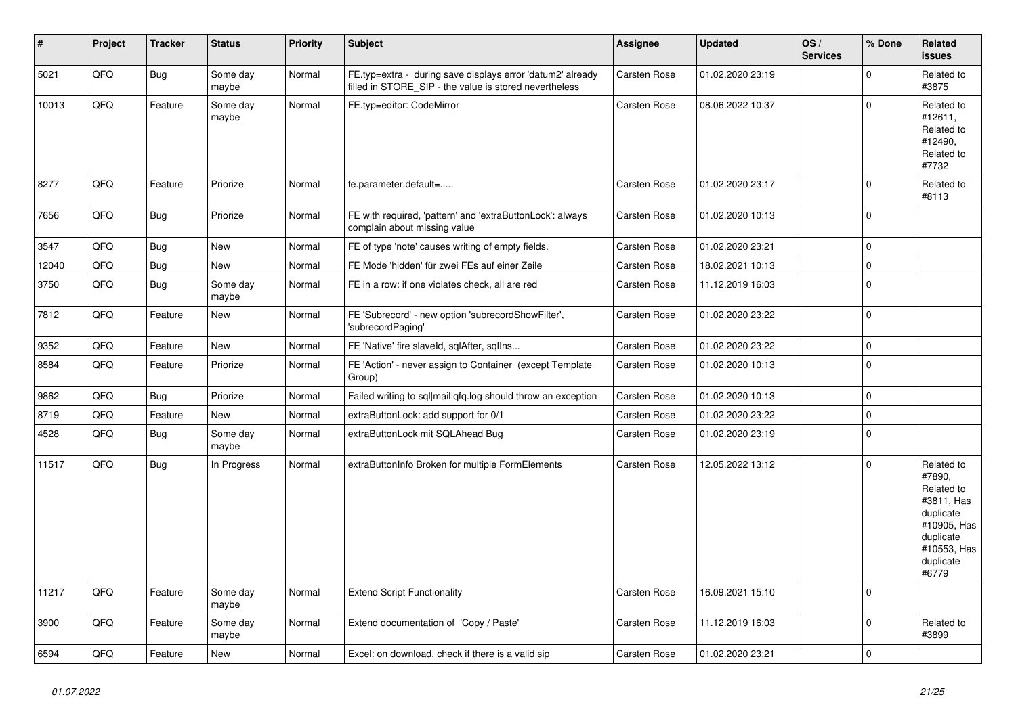| $\vert$ # | Project | <b>Tracker</b> | <b>Status</b>     | Priority | <b>Subject</b>                                                                                                       | <b>Assignee</b>     | <b>Updated</b>   | OS/<br><b>Services</b> | % Done       | Related<br><b>issues</b>                                                                                                       |
|-----------|---------|----------------|-------------------|----------|----------------------------------------------------------------------------------------------------------------------|---------------------|------------------|------------------------|--------------|--------------------------------------------------------------------------------------------------------------------------------|
| 5021      | QFQ     | <b>Bug</b>     | Some day<br>maybe | Normal   | FE.typ=extra - during save displays error 'datum2' already<br>filled in STORE_SIP - the value is stored nevertheless | <b>Carsten Rose</b> | 01.02.2020 23:19 |                        | $\Omega$     | Related to<br>#3875                                                                                                            |
| 10013     | QFQ     | Feature        | Some day<br>maybe | Normal   | FE.typ=editor: CodeMirror                                                                                            | <b>Carsten Rose</b> | 08.06.2022 10:37 |                        | 0            | Related to<br>#12611,<br>Related to<br>#12490,<br>Related to<br>#7732                                                          |
| 8277      | QFQ     | Feature        | Priorize          | Normal   | fe.parameter.default=                                                                                                | <b>Carsten Rose</b> | 01.02.2020 23:17 |                        | $\Omega$     | Related to<br>#8113                                                                                                            |
| 7656      | QFQ     | <b>Bug</b>     | Priorize          | Normal   | FE with required, 'pattern' and 'extraButtonLock': always<br>complain about missing value                            | Carsten Rose        | 01.02.2020 10:13 |                        | $\Omega$     |                                                                                                                                |
| 3547      | QFQ     | Bug            | <b>New</b>        | Normal   | FE of type 'note' causes writing of empty fields.                                                                    | <b>Carsten Rose</b> | 01.02.2020 23:21 |                        | $\mathbf 0$  |                                                                                                                                |
| 12040     | QFQ     | Bug            | New               | Normal   | FE Mode 'hidden' für zwei FEs auf einer Zeile                                                                        | <b>Carsten Rose</b> | 18.02.2021 10:13 |                        | $\mathbf{0}$ |                                                                                                                                |
| 3750      | QFQ     | Bug            | Some day<br>maybe | Normal   | FE in a row: if one violates check, all are red                                                                      | <b>Carsten Rose</b> | 11.12.2019 16:03 |                        | $\Omega$     |                                                                                                                                |
| 7812      | QFQ     | Feature        | <b>New</b>        | Normal   | FE 'Subrecord' - new option 'subrecordShowFilter',<br>'subrecordPaging'                                              | <b>Carsten Rose</b> | 01.02.2020 23:22 |                        | $\mathbf 0$  |                                                                                                                                |
| 9352      | QFQ     | Feature        | New               | Normal   | FE 'Native' fire slaveld, sqlAfter, sqlIns                                                                           | <b>Carsten Rose</b> | 01.02.2020 23:22 |                        | 0            |                                                                                                                                |
| 8584      | QFQ     | Feature        | Priorize          | Normal   | FE 'Action' - never assign to Container (except Template<br>Group)                                                   | <b>Carsten Rose</b> | 01.02.2020 10:13 |                        | $\Omega$     |                                                                                                                                |
| 9862      | QFQ     | <b>Bug</b>     | Priorize          | Normal   | Failed writing to sql mail qfq.log should throw an exception                                                         | Carsten Rose        | 01.02.2020 10:13 |                        | $\Omega$     |                                                                                                                                |
| 8719      | QFQ     | Feature        | <b>New</b>        | Normal   | extraButtonLock: add support for 0/1                                                                                 | <b>Carsten Rose</b> | 01.02.2020 23:22 |                        | $\mathbf 0$  |                                                                                                                                |
| 4528      | QFQ     | Bug            | Some day<br>maybe | Normal   | extraButtonLock mit SQLAhead Bug                                                                                     | <b>Carsten Rose</b> | 01.02.2020 23:19 |                        | $\Omega$     |                                                                                                                                |
| 11517     | QFQ     | Bug            | In Progress       | Normal   | extraButtonInfo Broken for multiple FormElements                                                                     | <b>Carsten Rose</b> | 12.05.2022 13:12 |                        | $\Omega$     | Related to<br>#7890,<br>Related to<br>#3811, Has<br>duplicate<br>#10905, Has<br>duplicate<br>#10553, Has<br>duplicate<br>#6779 |
| 11217     | QFQ     | Feature        | Some day<br>maybe | Normal   | <b>Extend Script Functionality</b>                                                                                   | Carsten Rose        | 16.09.2021 15:10 |                        | $\Omega$     |                                                                                                                                |
| 3900      | QFQ     | Feature        | Some day<br>maybe | Normal   | Extend documentation of 'Copy / Paste'                                                                               | Carsten Rose        | 11.12.2019 16:03 |                        | $\Omega$     | Related to<br>#3899                                                                                                            |
| 6594      | QFQ     | Feature        | <b>New</b>        | Normal   | Excel: on download, check if there is a valid sip                                                                    | <b>Carsten Rose</b> | 01.02.2020 23:21 |                        | $\Omega$     |                                                                                                                                |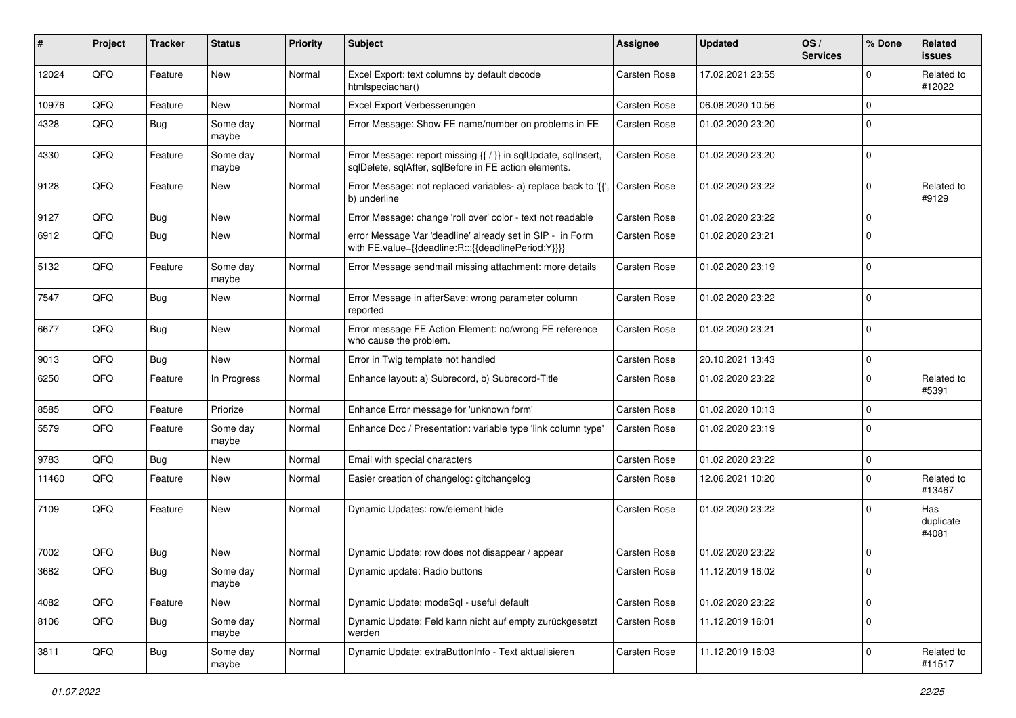| #     | Project | <b>Tracker</b> | <b>Status</b>     | <b>Priority</b> | <b>Subject</b>                                                                                                          | <b>Assignee</b>     | <b>Updated</b>   | OS/<br><b>Services</b> | % Done      | Related<br>issues         |
|-------|---------|----------------|-------------------|-----------------|-------------------------------------------------------------------------------------------------------------------------|---------------------|------------------|------------------------|-------------|---------------------------|
| 12024 | QFQ     | Feature        | New               | Normal          | Excel Export: text columns by default decode<br>htmlspeciachar()                                                        | Carsten Rose        | 17.02.2021 23:55 |                        | $\Omega$    | Related to<br>#12022      |
| 10976 | QFQ     | Feature        | New               | Normal          | Excel Export Verbesserungen                                                                                             | <b>Carsten Rose</b> | 06.08.2020 10:56 |                        | $\mathbf 0$ |                           |
| 4328  | QFQ     | Bug            | Some day<br>maybe | Normal          | Error Message: Show FE name/number on problems in FE                                                                    | <b>Carsten Rose</b> | 01.02.2020 23:20 |                        | $\Omega$    |                           |
| 4330  | QFQ     | Feature        | Some day<br>maybe | Normal          | Error Message: report missing {{ / }} in sqlUpdate, sqlInsert,<br>sqlDelete, sqlAfter, sqlBefore in FE action elements. | <b>Carsten Rose</b> | 01.02.2020 23:20 |                        | $\mathbf 0$ |                           |
| 9128  | QFQ     | Feature        | New               | Normal          | Error Message: not replaced variables- a) replace back to '{{'<br>b) underline                                          | <b>Carsten Rose</b> | 01.02.2020 23:22 |                        | $\Omega$    | Related to<br>#9129       |
| 9127  | QFQ     | <b>Bug</b>     | New               | Normal          | Error Message: change 'roll over' color - text not readable                                                             | <b>Carsten Rose</b> | 01.02.2020 23:22 |                        | $\Omega$    |                           |
| 6912  | QFQ     | <b>Bug</b>     | New               | Normal          | error Message Var 'deadline' already set in SIP - in Form<br>with FE.value={{deadline:R:::{{deadlinePeriod:Y}}}}        | <b>Carsten Rose</b> | 01.02.2020 23:21 |                        | 0           |                           |
| 5132  | QFQ     | Feature        | Some day<br>maybe | Normal          | Error Message sendmail missing attachment: more details                                                                 | <b>Carsten Rose</b> | 01.02.2020 23:19 |                        | $\Omega$    |                           |
| 7547  | QFQ     | Bug            | New               | Normal          | Error Message in afterSave: wrong parameter column<br>reported                                                          | <b>Carsten Rose</b> | 01.02.2020 23:22 |                        | $\Omega$    |                           |
| 6677  | QFQ     | <b>Bug</b>     | New               | Normal          | Error message FE Action Element: no/wrong FE reference<br>who cause the problem.                                        | <b>Carsten Rose</b> | 01.02.2020 23:21 |                        | $\Omega$    |                           |
| 9013  | QFQ     | Bug            | <b>New</b>        | Normal          | Error in Twig template not handled                                                                                      | <b>Carsten Rose</b> | 20.10.2021 13:43 |                        | $\mathbf 0$ |                           |
| 6250  | QFQ     | Feature        | In Progress       | Normal          | Enhance layout: a) Subrecord, b) Subrecord-Title                                                                        | <b>Carsten Rose</b> | 01.02.2020 23:22 |                        | 0           | Related to<br>#5391       |
| 8585  | QFQ     | Feature        | Priorize          | Normal          | Enhance Error message for 'unknown form'                                                                                | <b>Carsten Rose</b> | 01.02.2020 10:13 |                        | $\mathbf 0$ |                           |
| 5579  | QFQ     | Feature        | Some day<br>maybe | Normal          | Enhance Doc / Presentation: variable type 'link column type'                                                            | <b>Carsten Rose</b> | 01.02.2020 23:19 |                        | $\Omega$    |                           |
| 9783  | QFQ     | Bug            | <b>New</b>        | Normal          | Email with special characters                                                                                           | <b>Carsten Rose</b> | 01.02.2020 23:22 |                        | $\mathbf 0$ |                           |
| 11460 | QFQ     | Feature        | New               | Normal          | Easier creation of changelog: gitchangelog                                                                              | <b>Carsten Rose</b> | 12.06.2021 10:20 |                        | $\Omega$    | Related to<br>#13467      |
| 7109  | QFQ     | Feature        | New               | Normal          | Dynamic Updates: row/element hide                                                                                       | <b>Carsten Rose</b> | 01.02.2020 23:22 |                        | $\Omega$    | Has<br>duplicate<br>#4081 |
| 7002  | QFQ     | Bug            | New               | Normal          | Dynamic Update: row does not disappear / appear                                                                         | <b>Carsten Rose</b> | 01.02.2020 23:22 |                        | 0           |                           |
| 3682  | QFQ     | Bug            | Some day<br>maybe | Normal          | Dynamic update: Radio buttons                                                                                           | <b>Carsten Rose</b> | 11.12.2019 16:02 |                        | l O         |                           |
| 4082  | QFQ     | Feature        | New               | Normal          | Dynamic Update: modeSql - useful default                                                                                | Carsten Rose        | 01.02.2020 23:22 |                        | $\mathbf 0$ |                           |
| 8106  | QFQ     | <b>Bug</b>     | Some day<br>maybe | Normal          | Dynamic Update: Feld kann nicht auf empty zurückgesetzt<br>werden                                                       | Carsten Rose        | 11.12.2019 16:01 |                        | $\mathbf 0$ |                           |
| 3811  | QFQ     | Bug            | Some day<br>maybe | Normal          | Dynamic Update: extraButtonInfo - Text aktualisieren                                                                    | Carsten Rose        | 11.12.2019 16:03 |                        | 0           | Related to<br>#11517      |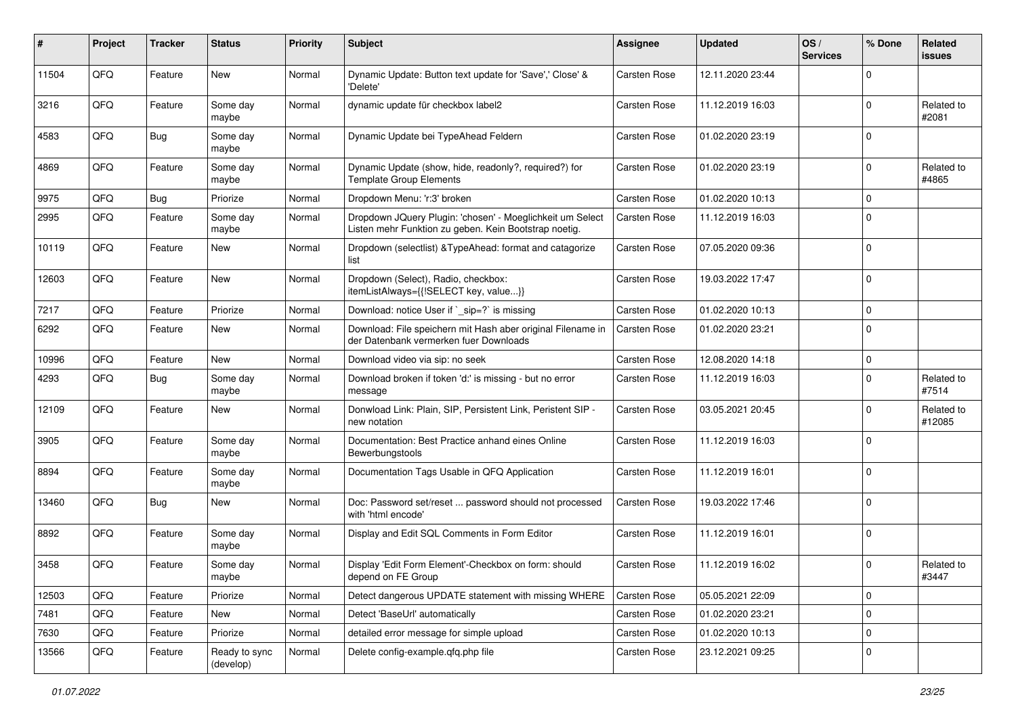| #     | Project | <b>Tracker</b> | <b>Status</b>              | <b>Priority</b> | <b>Subject</b>                                                                                                     | <b>Assignee</b>     | <b>Updated</b>   | OS/<br><b>Services</b> | % Done      | Related<br>issues    |
|-------|---------|----------------|----------------------------|-----------------|--------------------------------------------------------------------------------------------------------------------|---------------------|------------------|------------------------|-------------|----------------------|
| 11504 | QFQ     | Feature        | New                        | Normal          | Dynamic Update: Button text update for 'Save',' Close' &<br>'Delete'                                               | Carsten Rose        | 12.11.2020 23:44 |                        | $\Omega$    |                      |
| 3216  | QFQ     | Feature        | Some day<br>maybe          | Normal          | dynamic update für checkbox label2                                                                                 | <b>Carsten Rose</b> | 11.12.2019 16:03 |                        | $\mathbf 0$ | Related to<br>#2081  |
| 4583  | QFQ     | Bug            | Some day<br>maybe          | Normal          | Dynamic Update bei TypeAhead Feldern                                                                               | <b>Carsten Rose</b> | 01.02.2020 23:19 |                        | 0           |                      |
| 4869  | QFQ     | Feature        | Some day<br>maybe          | Normal          | Dynamic Update (show, hide, readonly?, required?) for<br><b>Template Group Elements</b>                            | <b>Carsten Rose</b> | 01.02.2020 23:19 |                        | 0           | Related to<br>#4865  |
| 9975  | QFQ     | <b>Bug</b>     | Priorize                   | Normal          | Dropdown Menu: 'r:3' broken                                                                                        | <b>Carsten Rose</b> | 01.02.2020 10:13 |                        | $\mathbf 0$ |                      |
| 2995  | QFQ     | Feature        | Some day<br>maybe          | Normal          | Dropdown JQuery Plugin: 'chosen' - Moeglichkeit um Select<br>Listen mehr Funktion zu geben. Kein Bootstrap noetig. | <b>Carsten Rose</b> | 11.12.2019 16:03 |                        | $\Omega$    |                      |
| 10119 | QFQ     | Feature        | New                        | Normal          | Dropdown (selectlist) & TypeAhead: format and catagorize<br>list                                                   | <b>Carsten Rose</b> | 07.05.2020 09:36 |                        | $\mathbf 0$ |                      |
| 12603 | QFQ     | Feature        | New                        | Normal          | Dropdown (Select), Radio, checkbox:<br>itemListAlways={{!SELECT key, value}}                                       | <b>Carsten Rose</b> | 19.03.2022 17:47 |                        | l 0         |                      |
| 7217  | QFQ     | Feature        | Priorize                   | Normal          | Download: notice User if `_sip=?` is missing                                                                       | <b>Carsten Rose</b> | 01.02.2020 10:13 |                        | $\mathbf 0$ |                      |
| 6292  | QFQ     | Feature        | New                        | Normal          | Download: File speichern mit Hash aber original Filename in<br>der Datenbank vermerken fuer Downloads              | <b>Carsten Rose</b> | 01.02.2020 23:21 |                        | $\Omega$    |                      |
| 10996 | QFQ     | Feature        | New                        | Normal          | Download video via sip: no seek                                                                                    | Carsten Rose        | 12.08.2020 14:18 |                        | $\mathbf 0$ |                      |
| 4293  | QFQ     | Bug            | Some day<br>maybe          | Normal          | Download broken if token 'd:' is missing - but no error<br>message                                                 | <b>Carsten Rose</b> | 11.12.2019 16:03 |                        | $\mathbf 0$ | Related to<br>#7514  |
| 12109 | QFQ     | Feature        | New                        | Normal          | Donwload Link: Plain, SIP, Persistent Link, Peristent SIP -<br>new notation                                        | <b>Carsten Rose</b> | 03.05.2021 20:45 |                        | $\mathbf 0$ | Related to<br>#12085 |
| 3905  | QFQ     | Feature        | Some day<br>maybe          | Normal          | Documentation: Best Practice anhand eines Online<br>Bewerbungstools                                                | <b>Carsten Rose</b> | 11.12.2019 16:03 |                        | $\Omega$    |                      |
| 8894  | QFQ     | Feature        | Some day<br>maybe          | Normal          | Documentation Tags Usable in QFQ Application                                                                       | <b>Carsten Rose</b> | 11.12.2019 16:01 |                        | $\Omega$    |                      |
| 13460 | QFQ     | Bug            | New                        | Normal          | Doc: Password set/reset  password should not processed<br>with 'html encode'                                       | <b>Carsten Rose</b> | 19.03.2022 17:46 |                        | $\Omega$    |                      |
| 8892  | QFQ     | Feature        | Some day<br>maybe          | Normal          | Display and Edit SQL Comments in Form Editor                                                                       | <b>Carsten Rose</b> | 11.12.2019 16:01 |                        | $\mathbf 0$ |                      |
| 3458  | QFQ     | Feature        | Some day<br>maybe          | Normal          | Display 'Edit Form Element'-Checkbox on form: should<br>depend on FE Group                                         | <b>Carsten Rose</b> | 11.12.2019 16:02 |                        | $\mathbf 0$ | Related to<br>#3447  |
| 12503 | QFQ     | Feature        | Priorize                   | Normal          | Detect dangerous UPDATE statement with missing WHERE                                                               | Carsten Rose        | 05.05.2021 22:09 |                        | $\mathbf 0$ |                      |
| 7481  | QFQ     | Feature        | New                        | Normal          | Detect 'BaseUrl' automatically                                                                                     | Carsten Rose        | 01.02.2020 23:21 |                        | $\mathbf 0$ |                      |
| 7630  | QFQ     | Feature        | Priorize                   | Normal          | detailed error message for simple upload                                                                           | Carsten Rose        | 01.02.2020 10:13 |                        | 0           |                      |
| 13566 | QFQ     | Feature        | Ready to sync<br>(develop) | Normal          | Delete config-example.qfq.php file                                                                                 | Carsten Rose        | 23.12.2021 09:25 |                        | 0           |                      |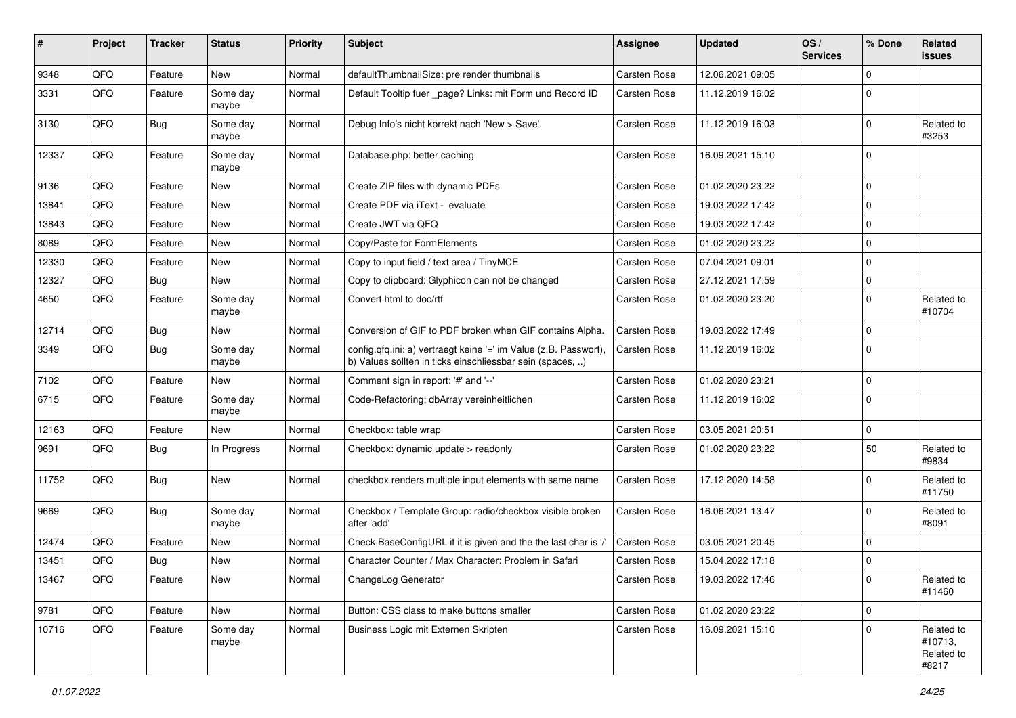| #     | <b>Project</b> | <b>Tracker</b> | <b>Status</b>     | <b>Priority</b> | <b>Subject</b>                                                                                                                | <b>Assignee</b>     | <b>Updated</b>   | OS/<br><b>Services</b> | % Done       | Related<br>issues                            |
|-------|----------------|----------------|-------------------|-----------------|-------------------------------------------------------------------------------------------------------------------------------|---------------------|------------------|------------------------|--------------|----------------------------------------------|
| 9348  | QFQ            | Feature        | New               | Normal          | defaultThumbnailSize: pre render thumbnails                                                                                   | <b>Carsten Rose</b> | 12.06.2021 09:05 |                        | $\Omega$     |                                              |
| 3331  | QFQ            | Feature        | Some day<br>maybe | Normal          | Default Tooltip fuer page? Links: mit Form und Record ID                                                                      | <b>Carsten Rose</b> | 11.12.2019 16:02 |                        | $\Omega$     |                                              |
| 3130  | QFQ            | Bug            | Some day<br>maybe | Normal          | Debug Info's nicht korrekt nach 'New > Save'.                                                                                 | <b>Carsten Rose</b> | 11.12.2019 16:03 |                        | 0            | Related to<br>#3253                          |
| 12337 | QFQ            | Feature        | Some day<br>maybe | Normal          | Database.php: better caching                                                                                                  | <b>Carsten Rose</b> | 16.09.2021 15:10 |                        | $\Omega$     |                                              |
| 9136  | QFQ            | Feature        | New               | Normal          | Create ZIP files with dynamic PDFs                                                                                            | <b>Carsten Rose</b> | 01.02.2020 23:22 |                        | $\mathbf 0$  |                                              |
| 13841 | QFQ            | Feature        | New               | Normal          | Create PDF via iText - evaluate                                                                                               | <b>Carsten Rose</b> | 19.03.2022 17:42 |                        | $\mathbf 0$  |                                              |
| 13843 | QFQ            | Feature        | New               | Normal          | Create JWT via QFQ                                                                                                            | Carsten Rose        | 19.03.2022 17:42 |                        | $\mathbf{0}$ |                                              |
| 8089  | QFQ            | Feature        | New               | Normal          | Copy/Paste for FormElements                                                                                                   | <b>Carsten Rose</b> | 01.02.2020 23:22 |                        | $\mathbf 0$  |                                              |
| 12330 | QFQ            | Feature        | New               | Normal          | Copy to input field / text area / TinyMCE                                                                                     | <b>Carsten Rose</b> | 07.04.2021 09:01 |                        | $\mathbf 0$  |                                              |
| 12327 | QFQ            | Bug            | New               | Normal          | Copy to clipboard: Glyphicon can not be changed                                                                               | <b>Carsten Rose</b> | 27.12.2021 17:59 |                        | $\mathbf 0$  |                                              |
| 4650  | QFQ            | Feature        | Some day<br>maybe | Normal          | Convert html to doc/rtf                                                                                                       | <b>Carsten Rose</b> | 01.02.2020 23:20 |                        | $\Omega$     | Related to<br>#10704                         |
| 12714 | QFQ            | Bug            | New               | Normal          | Conversion of GIF to PDF broken when GIF contains Alpha.                                                                      | <b>Carsten Rose</b> | 19.03.2022 17:49 |                        | $\mathbf 0$  |                                              |
| 3349  | QFQ            | <b>Bug</b>     | Some day<br>maybe | Normal          | config.qfq.ini: a) vertraegt keine '=' im Value (z.B. Passwort),<br>b) Values sollten in ticks einschliessbar sein (spaces, ) | <b>Carsten Rose</b> | 11.12.2019 16:02 |                        | $\mathbf 0$  |                                              |
| 7102  | QFQ            | Feature        | New               | Normal          | Comment sign in report: '#' and '--'                                                                                          | <b>Carsten Rose</b> | 01.02.2020 23:21 |                        | $\mathbf 0$  |                                              |
| 6715  | QFQ            | Feature        | Some day<br>maybe | Normal          | Code-Refactoring: dbArray vereinheitlichen                                                                                    | <b>Carsten Rose</b> | 11.12.2019 16:02 |                        | $\Omega$     |                                              |
| 12163 | QFQ            | Feature        | New               | Normal          | Checkbox: table wrap                                                                                                          | <b>Carsten Rose</b> | 03.05.2021 20:51 |                        | $\mathbf 0$  |                                              |
| 9691  | QFQ            | Bug            | In Progress       | Normal          | Checkbox: dynamic update > readonly                                                                                           | <b>Carsten Rose</b> | 01.02.2020 23:22 |                        | 50           | Related to<br>#9834                          |
| 11752 | QFQ            | Bug            | New               | Normal          | checkbox renders multiple input elements with same name                                                                       | <b>Carsten Rose</b> | 17.12.2020 14:58 |                        | $\mathbf 0$  | Related to<br>#11750                         |
| 9669  | QFQ            | <b>Bug</b>     | Some day<br>maybe | Normal          | Checkbox / Template Group: radio/checkbox visible broken<br>after 'add'                                                       | <b>Carsten Rose</b> | 16.06.2021 13:47 |                        | $\Omega$     | Related to<br>#8091                          |
| 12474 | QFQ            | Feature        | New               | Normal          | Check BaseConfigURL if it is given and the the last char is '/'                                                               | <b>Carsten Rose</b> | 03.05.2021 20:45 |                        | $\mathbf 0$  |                                              |
| 13451 | QFQ            | <b>Bug</b>     | New               | Normal          | Character Counter / Max Character: Problem in Safari                                                                          | <b>Carsten Rose</b> | 15.04.2022 17:18 |                        | $\mathbf 0$  |                                              |
| 13467 | QFQ            | Feature        | New               | Normal          | ChangeLog Generator                                                                                                           | <b>Carsten Rose</b> | 19.03.2022 17:46 |                        | 0            | Related to<br>#11460                         |
| 9781  | QFQ            | Feature        | New               | Normal          | Button: CSS class to make buttons smaller                                                                                     | <b>Carsten Rose</b> | 01.02.2020 23:22 |                        | 0            |                                              |
| 10716 | QFQ            | Feature        | Some day<br>maybe | Normal          | Business Logic mit Externen Skripten                                                                                          | Carsten Rose        | 16.09.2021 15:10 |                        | $\mathbf 0$  | Related to<br>#10713,<br>Related to<br>#8217 |